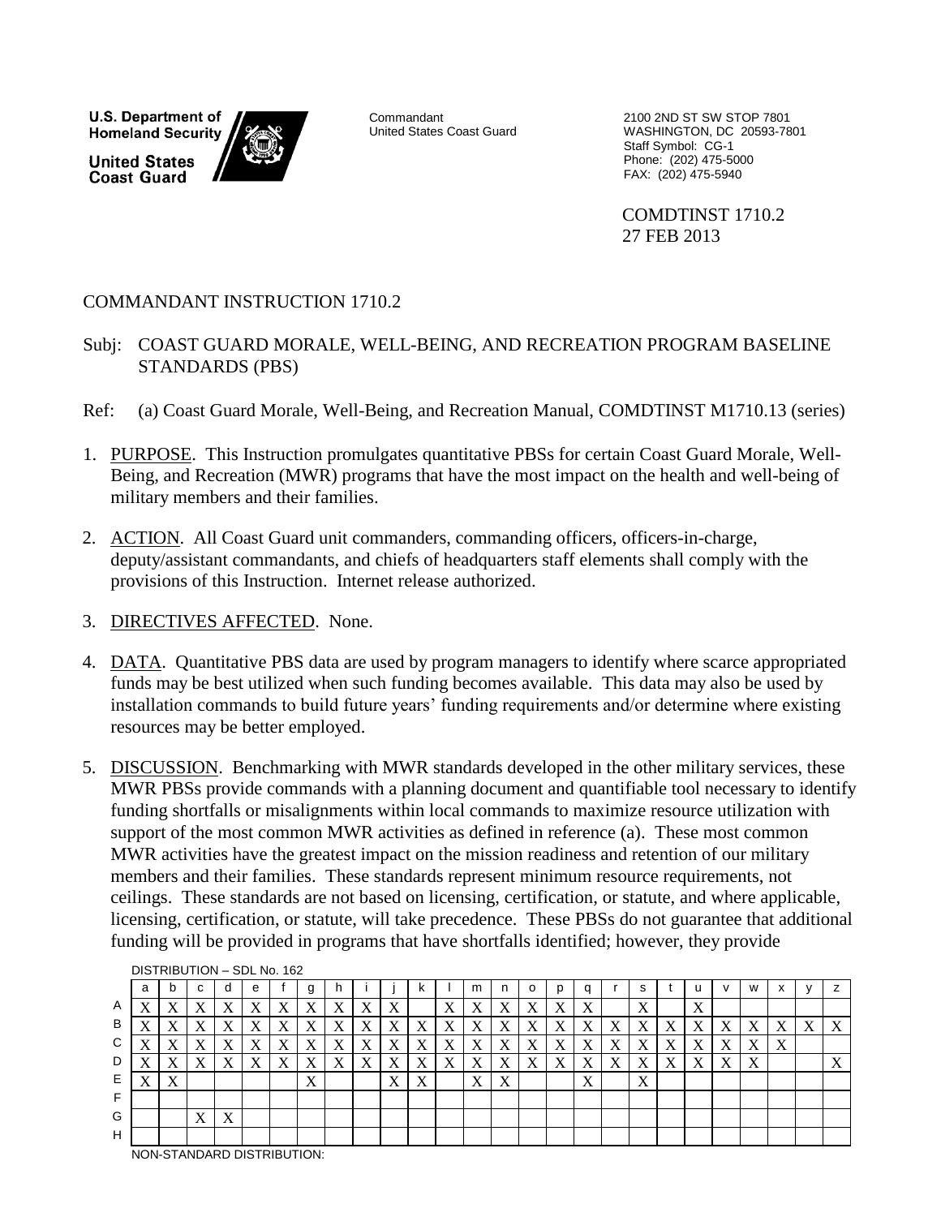**U.S. Department of Homeland Security United States Coast Guard** 



United States Coast Guard

 Staff Symbol: CG-1 Phone: (202) 475-5000 FAX: (202) 475-5940 Commandant 2100 2ND ST SW STOP 7801 WASHINGTON, DC 20593-7801

> COMDTINST 1710.2 27 FEB 2013

#### COMMANDANT INSTRUCTION 1710.2

- Subj: COAST GUARD MORALE, WELL-BEING, AND RECREATION PROGRAM BASELINE STANDARDS (PBS)
- Ref: (a) Coast Guard Morale, Well-Being, and Recreation Manual, COMDTINST M1710.13 (series)
- 1. PURPOSE. This Instruction promulgates quantitative PBSs for certain Coast Guard Morale, Well-Being, and Recreation (MWR) programs that have the most impact on the health and well-being of military members and their families.
- 2. ACTION. All Coast Guard unit commanders, commanding officers, officers-in-charge, deputy/assistant commandants, and chiefs of headquarters staff elements shall comply with the provisions of this Instruction. Internet release authorized.
- 3. DIRECTIVES AFFECTED. None.
- 4. DATA. Quantitative PBS data are used by program managers to identify where scarce appropriated funds may be best utilized when such funding becomes available. This data may also be used by installation commands to build future years' funding requirements and/or determine where existing resources may be better employed.
- 5. DISCUSSION. Benchmarking with MWR standards developed in the other military services, these MWR PBSs provide commands with a planning document and quantifiable tool necessary to identify funding shortfalls or misalignments within local commands to maximize resource utilization with support of the most common MWR activities as defined in reference (a). These most common MWR activities have the greatest impact on the mission readiness and retention of our military members and their families. These standards represent minimum resource requirements, not ceilings. These standards are not based on licensing, certification, or statute, and where applicable, licensing, certification, or statute, will take precedence. These PBSs do not guarantee that additional funding will be provided in programs that have shortfalls identified; however, they provide

|   | a            | b | c |                          | е |   |                           |   |   |                  | ĸ                         |   | m                         |   | O |   | q                         |   | s                         |   |                   | $\mathsf{v}$              | W                         | ᄉ                 |   |                 |
|---|--------------|---|---|--------------------------|---|---|---------------------------|---|---|------------------|---------------------------|---|---------------------------|---|---|---|---------------------------|---|---------------------------|---|-------------------|---------------------------|---------------------------|-------------------|---|-----------------|
| A | X            | Χ | Χ | v                        | X | Х | X                         | X | Χ | $\mathbf v$<br>Λ |                           | X | $\mathbf v$<br>Λ          | X | X | X | $\mathbf v$<br>$\Lambda$  |   | $\mathbf{v}$<br>$\Lambda$ |   | $\mathbf{v}$<br>Δ |                           |                           |                   |   |                 |
| B | X            | X | X | X                        | X | X | X                         | X | X | X                | X                         | X | X                         | X | X | X | X                         | X | X                         | X | X                 | X                         | Y<br>$\Lambda$            | Χ                 | X | A               |
| C | $\mathbf{v}$ | X | X | $\mathbf v$<br>$\Lambda$ | X | X | X                         | X | X | X                | X                         | X | $\mathbf{v}$<br>$\Lambda$ | X | X | X | X                         | X | X                         | X | X                 | X                         | X                         | $\mathbf{v}$<br>A |   |                 |
| D | $\mathbf{v}$ | X | X | X                        | X | X | X                         | X | X | X                | X                         | X | $\mathbf v$<br>$\Lambda$  | X | X | X | X                         | X | X                         | X | X                 | $\boldsymbol{\mathrm{X}}$ | $\mathbf{v}$<br>$\Lambda$ |                   |   | T7<br>$\Lambda$ |
|   | X            | X |   |                          |   |   | $\mathbf{v}$<br>$\Lambda$ |   |   | X                | $\mathbf{v}$<br>$\Lambda$ |   | $\mathbf{v}$<br>$\Lambda$ | X |   |   | $\mathbf{v}$<br>$\Lambda$ |   | $\mathbf{v}$<br>$\Lambda$ |   |                   |                           |                           |                   |   |                 |
|   |              |   |   |                          |   |   |                           |   |   |                  |                           |   |                           |   |   |   |                           |   |                           |   |                   |                           |                           |                   |   |                 |
| G |              |   | X | $\mathbf v$<br>A         |   |   |                           |   |   |                  |                           |   |                           |   |   |   |                           |   |                           |   |                   |                           |                           |                   |   |                 |
| H |              |   |   |                          |   |   |                           |   |   |                  |                           |   |                           |   |   |   |                           |   |                           |   |                   |                           |                           |                   |   |                 |

DISTRIBUTION – SDL No. 162

NON-STANDARD DISTRIBUTION: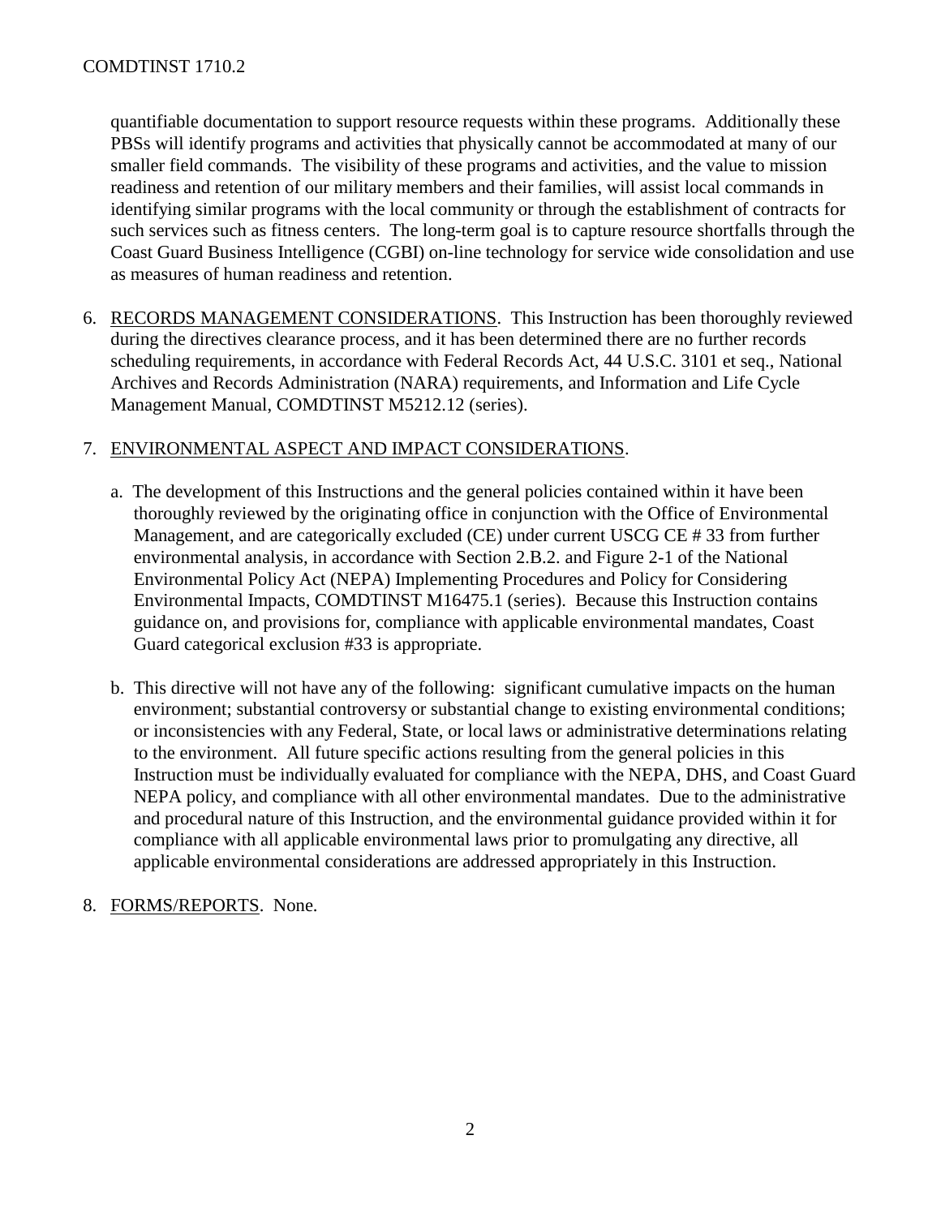quantifiable documentation to support resource requests within these programs. Additionally these PBSs will identify programs and activities that physically cannot be accommodated at many of our smaller field commands. The visibility of these programs and activities, and the value to mission readiness and retention of our military members and their families, will assist local commands in identifying similar programs with the local community or through the establishment of contracts for such services such as fitness centers. The long-term goal is to capture resource shortfalls through the Coast Guard Business Intelligence (CGBI) on-line technology for service wide consolidation and use as measures of human readiness and retention.

6. RECORDS MANAGEMENT CONSIDERATIONS. This Instruction has been thoroughly reviewed during the directives clearance process, and it has been determined there are no further records scheduling requirements, in accordance with Federal Records Act, 44 U.S.C. 3101 et seq., National Archives and Records Administration (NARA) requirements, and Information and Life Cycle Management Manual, COMDTINST M5212.12 (series).

#### 7. ENVIRONMENTAL ASPECT AND IMPACT CONSIDERATIONS.

- a. The development of this Instructions and the general policies contained within it have been thoroughly reviewed by the originating office in conjunction with the Office of Environmental Management, and are categorically excluded (CE) under current USCG CE # 33 from further environmental analysis, in accordance with Section 2.B.2. and Figure 2-1 of the National Environmental Policy Act (NEPA) Implementing Procedures and Policy for Considering Environmental Impacts, COMDTINST M16475.1 (series). Because this Instruction contains guidance on, and provisions for, compliance with applicable environmental mandates, Coast Guard categorical exclusion #33 is appropriate.
- b. This directive will not have any of the following: significant cumulative impacts on the human environment; substantial controversy or substantial change to existing environmental conditions; or inconsistencies with any Federal, State, or local laws or administrative determinations relating to the environment. All future specific actions resulting from the general policies in this Instruction must be individually evaluated for compliance with the NEPA, DHS, and Coast Guard NEPA policy, and compliance with all other environmental mandates. Due to the administrative and procedural nature of this Instruction, and the environmental guidance provided within it for compliance with all applicable environmental laws prior to promulgating any directive, all applicable environmental considerations are addressed appropriately in this Instruction.
- 8. FORMS/REPORTS. None.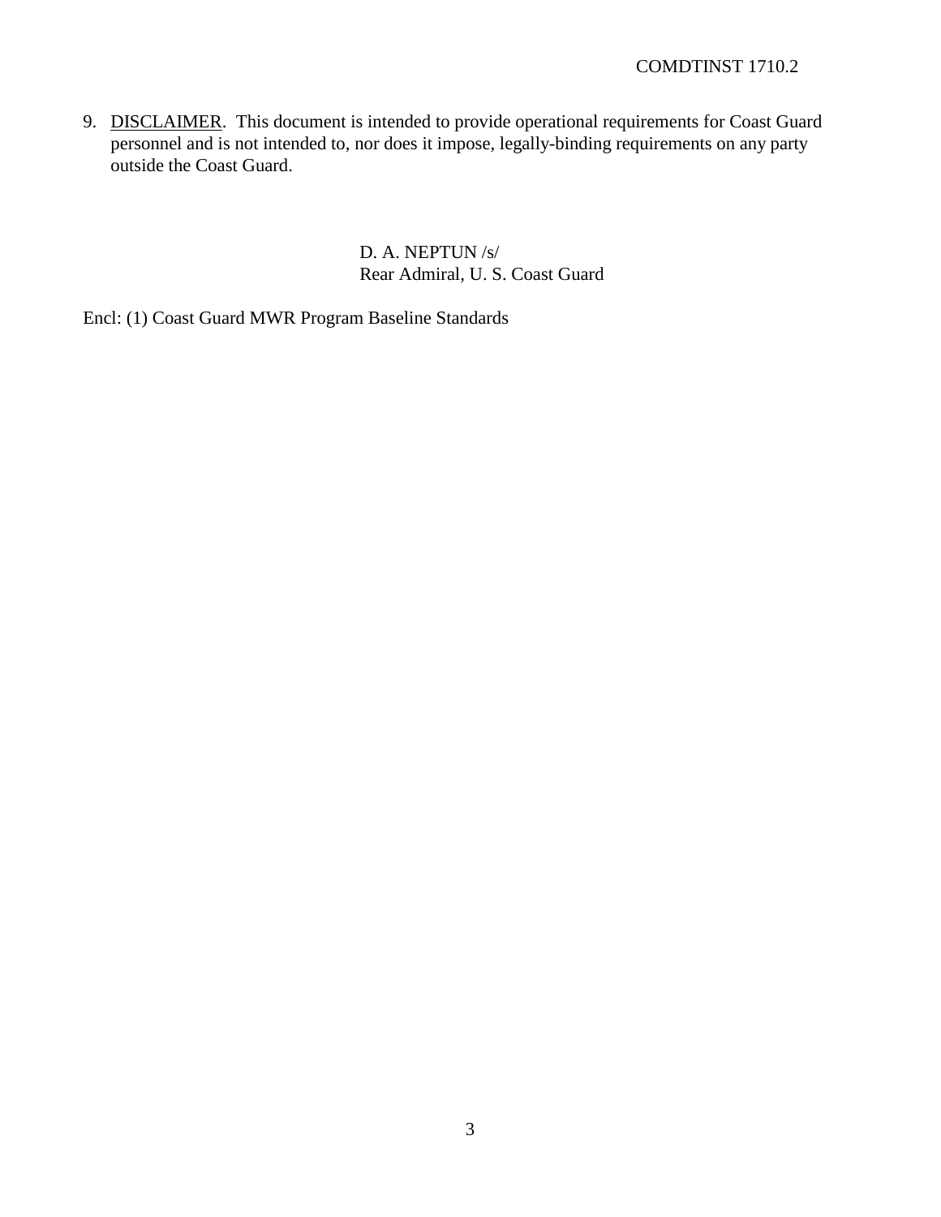9. DISCLAIMER. This document is intended to provide operational requirements for Coast Guard personnel and is not intended to, nor does it impose, legally-binding requirements on any party outside the Coast Guard.

> D. A. NEPTUN /s/ Rear Admiral, U. S. Coast Guard

Encl: (1) Coast Guard MWR Program Baseline Standards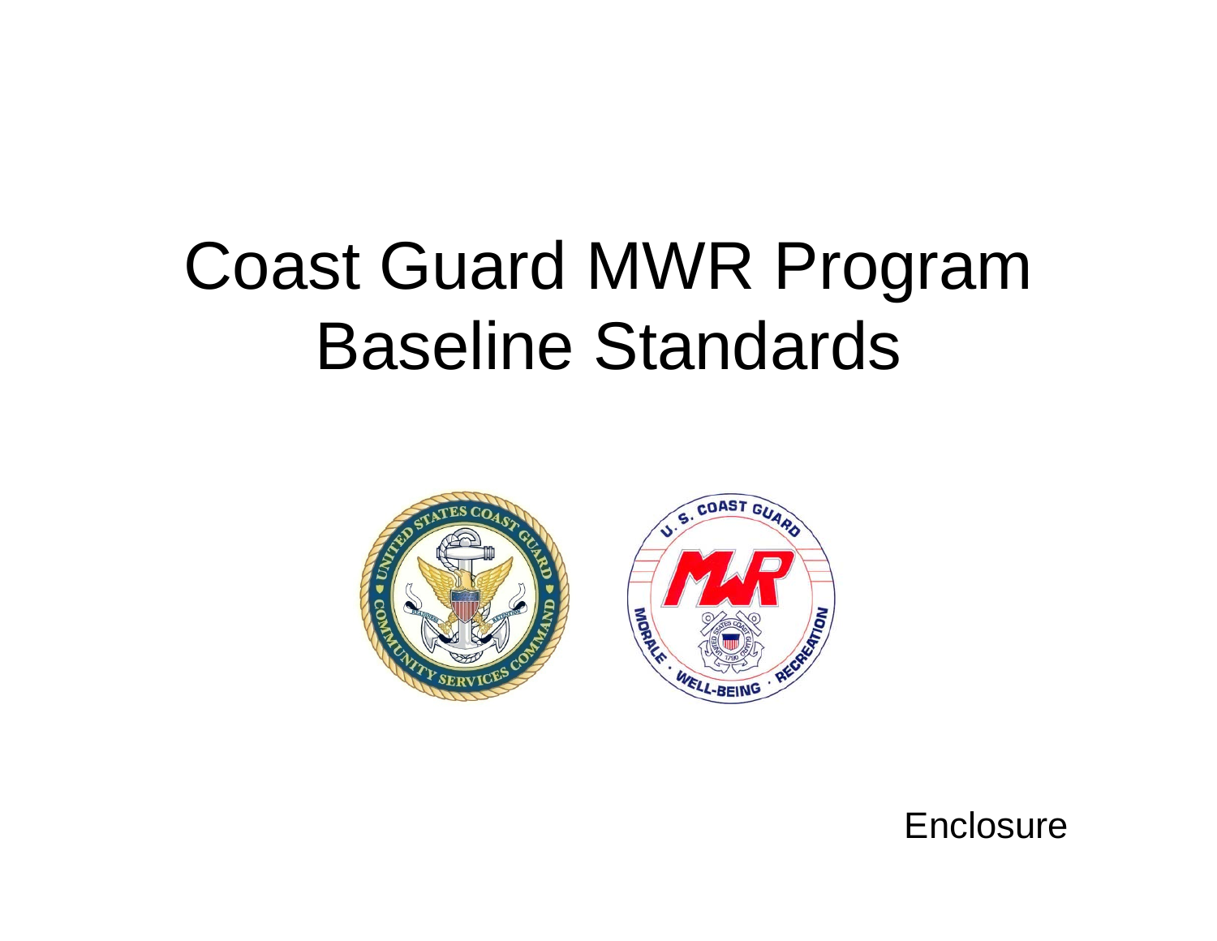# Coast Guard MWR Program Baseline Standards



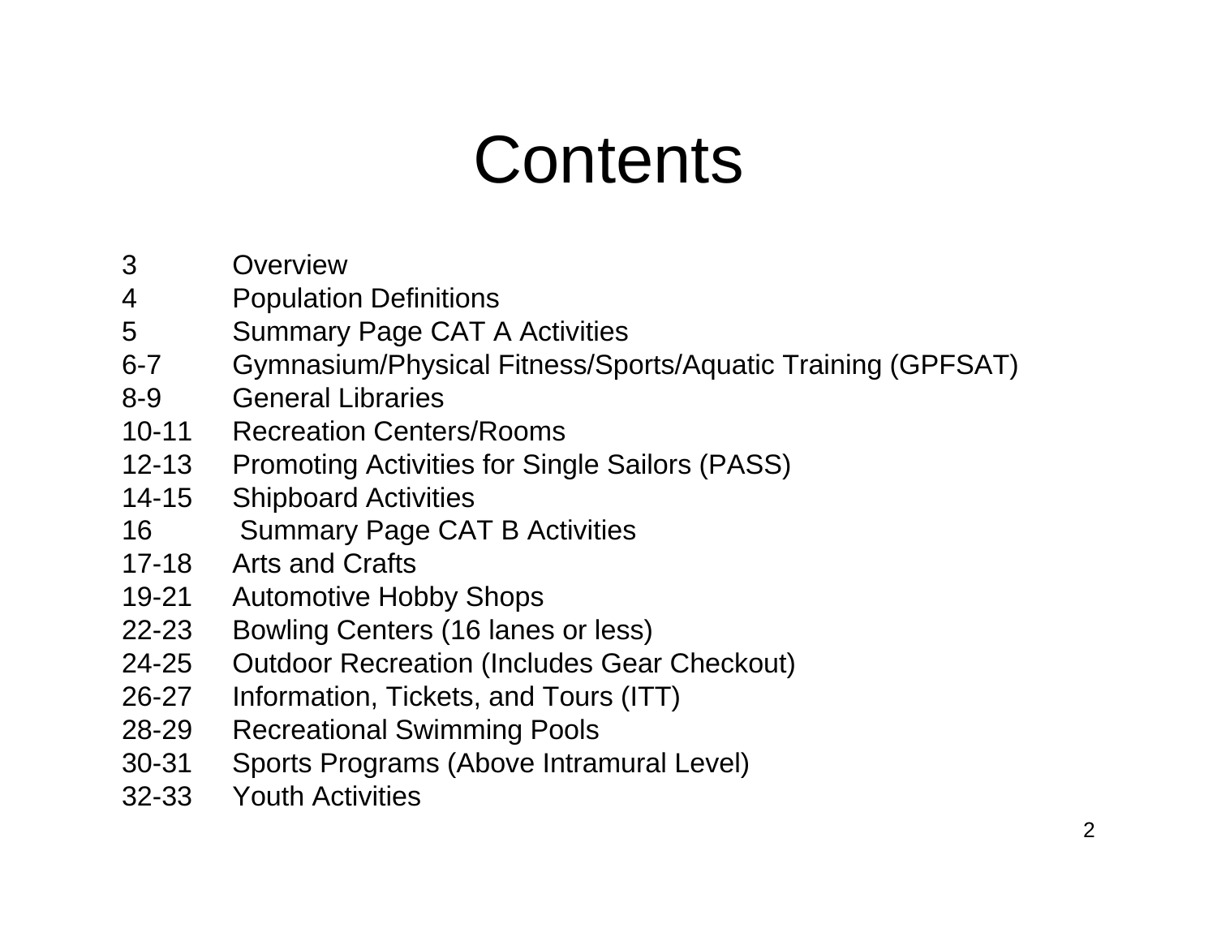# **Contents**

- 3 Overview
- 4 Population Definitions
- 5 Summary Page CAT A Activities
- 6-7 Gymnasium/Physical Fitness/Sports/Aquatic Training (GPFSAT)
- 8-9 General Libraries
- 10-11 Recreation Centers/Rooms
- 12-13 Promoting Activities for Single Sailors (PASS)
- 14-15 Shipboard Activities
- 16 Summary Page CAT B Activities
- 17-18 Arts and Crafts
- 19-21 Automotive Hobby Shops
- 22-23 Bowling Centers (16 lanes or less)
- 24-25 Outdoor Recreation (Includes Gear Checkout)
- 26-27 Information, Tickets, and Tours (ITT)
- 28-29 Recreational Swimming Pools
- 30-31 Sports Programs (Above Intramural Level)
- 32-33 Youth Activities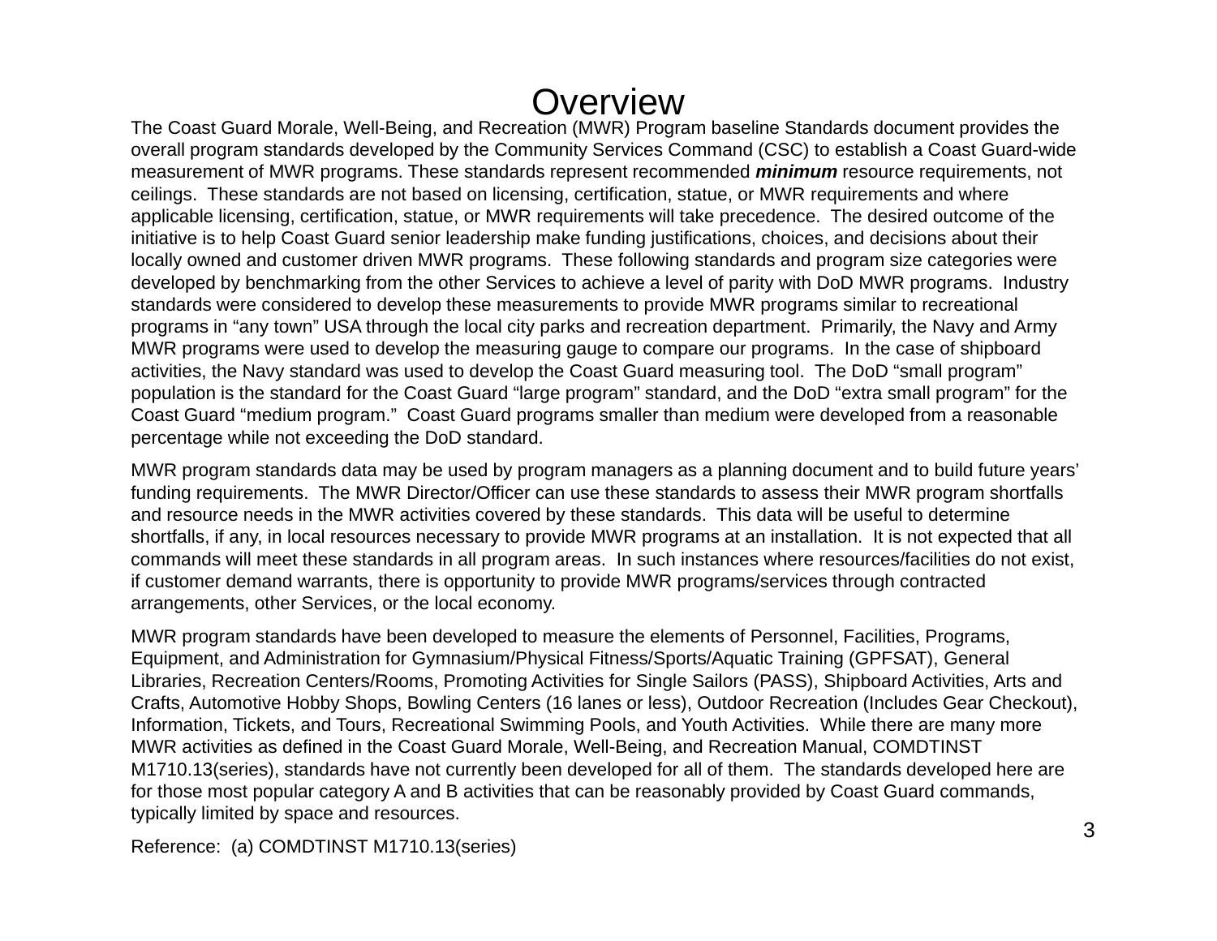# **Overview**

 The Coast Guard Morale, Well-Being, and Recreation (MWR) Program baseline Standards document provides the overall program standards developed by the Community Services Command (CSC) to establish a Coast Guard-wide measurement of MWR programs. These standards represent recommended *minimum* resource requirements, not ceilings. These standards are not based on licensing, certification, statue, or MWR requirements and where applicable licensing, certification, statue, or MWR requirements will take precedence. The desired outcome of the initiative is to help Coast Guard senior leadership make funding justifications, choices, and decisions about their locally owned and customer driven MWR programs. These following standards and program size categories were developed by benchmarking from the other Services to achieve a level of parity with DoD MWR programs. Industry standards were considered to develop these measurements to provide MWR programs similar to recreational programs in "any town" USA through the local city parks and recreation department. Primarily, the Navy and Army MWR programs were used to develop the measuring gauge to compare our programs. In the case of shipboard activities, the Navy standard was used to develop the Coast Guard measuring tool. The DoD "small program" population is the standard for the Coast Guard "large program" standard, and the DoD "extra small program" for the Coast Guard "medium program." Coast Guard programs smaller than medium were developed from a reasonable percentage while not exceeding the DoD standard.

MWR program standards data may be used by program managers as a planning document and to build future years' funding requirements. The MWR Director/Officer can use these standards to assess their MWR program shortfalls and resource needs in the MWR activities covered by these standards. This data will be useful to determine shortfalls, if any, in local resources necessary to provide MWR programs at an installation. It is not expected that all commands will meet these standards in all program areas. In such instances where resources/facilities do not exist, if customer demand warrants, there is opportunity to provide MWR programs/services through contracted arrangements, other Services, or the local economy.

MWR program standards have been developed to measure the elements of Personnel, Facilities, Programs, Equipment, and Administration for Gymnasium/Physical Fitness/Sports/Aquatic Training (GPFSAT), General Libraries, Recreation Centers/Rooms, Promoting Activities for Single Sailors (PASS), Shipboard Activities, Arts and Crafts, Automotive Hobby Shops, Bowling Centers (16 lanes or less), Outdoor Recreation (Includes Gear Checkout), Information, Tickets, and Tours, Recreational Swimming Pools, and Youth Activities. While there are many more MWR activities as defined in the Coast Guard Morale, Well-Being, and Recreation Manual, COMDTINST M1710.13(series), standards have not currently been developed for all of them. The standards developed here are for those most popular category A and B activities that can be reasonably provided by Coast Guard commands, typically limited by space and resources.

Reference: (a) COMDTINST M1710.13(series)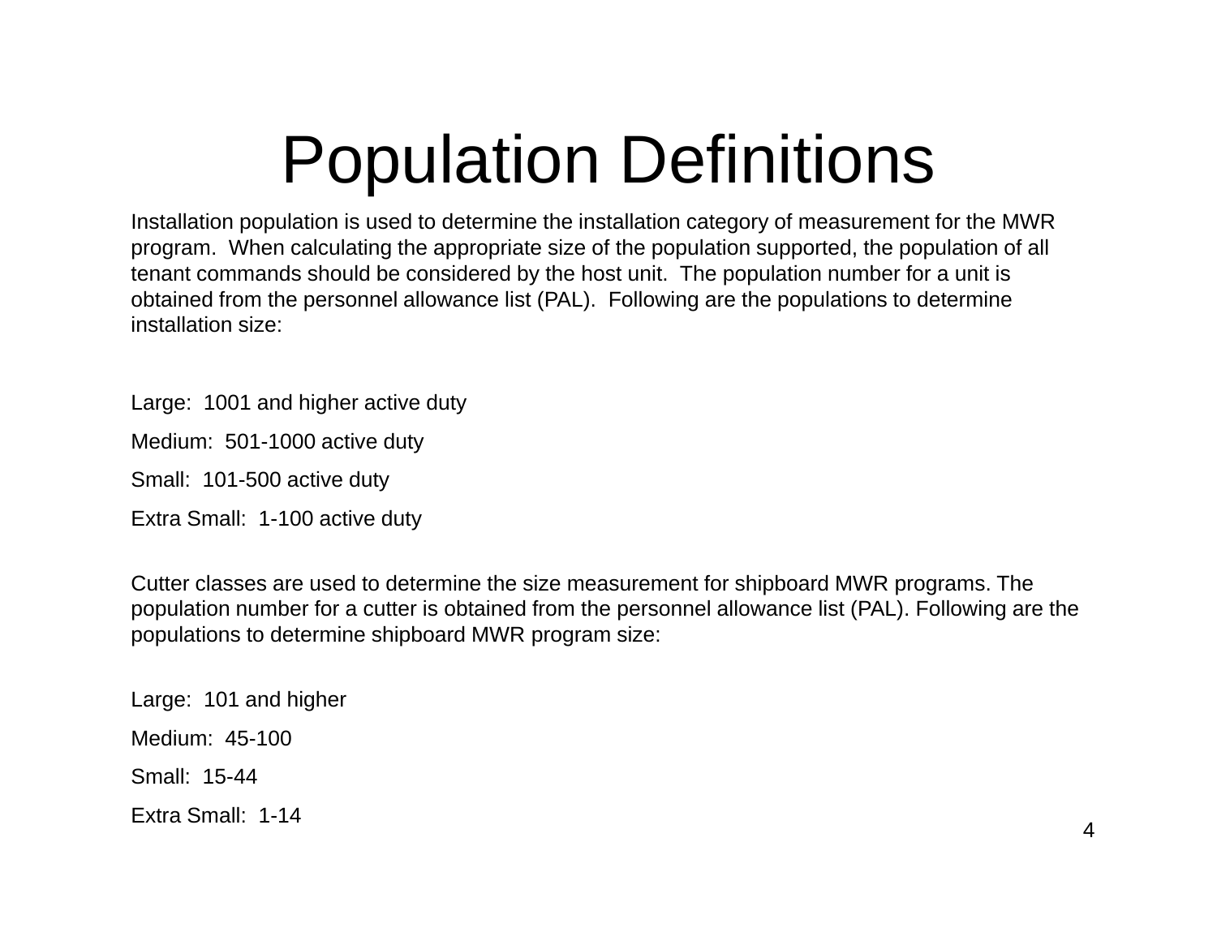# Population Definitions

 $\mathbf{r} = \mathbf{r}$ Installation population is used to determine the installation category of measurement for the MWR program. When calculating the appropriate size of the population supported, the population of all tenant commands should be considered by the host unit. The population number for a unit is obtained from the personnel allowance list (PAL). Following are the populations to determine installation size:

Large: 1001 and higher active duty

Medium: 501-1000 active duty

Small: 101-500 active duty

Extra Small: 1-100 active duty

Cutter classes are used to determine the size measurement for shipboard MWR programs. The population number for a cutter is obtained from the personnel allowance list (PAL). Following are the populations to determine shipboard MWR program size:

Large: 101 and higher Medium: 45-100 Small: 15-44 Extra Small: 1-14 4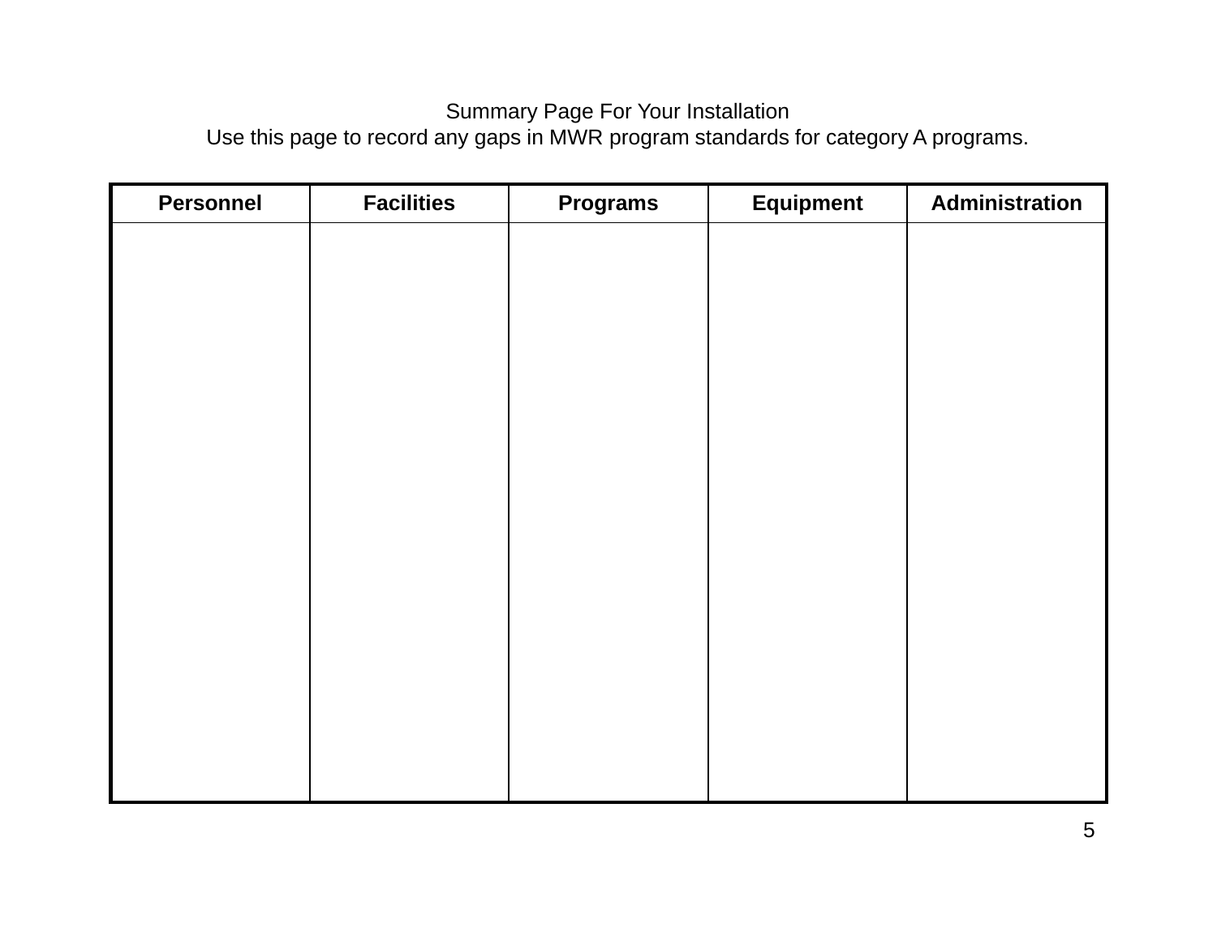## Summary Page For Your Installation

Use this page to record any gaps in MWR program standards for category A programs.

| <b>Personnel</b> | <b>Facilities</b> | <b>Programs</b> | <b>Equipment</b> | Administration |
|------------------|-------------------|-----------------|------------------|----------------|
|                  |                   |                 |                  |                |
|                  |                   |                 |                  |                |
|                  |                   |                 |                  |                |
|                  |                   |                 |                  |                |
|                  |                   |                 |                  |                |
|                  |                   |                 |                  |                |
|                  |                   |                 |                  |                |
|                  |                   |                 |                  |                |
|                  |                   |                 |                  |                |
|                  |                   |                 |                  |                |
|                  |                   |                 |                  |                |
|                  |                   |                 |                  |                |
|                  |                   |                 |                  |                |
|                  |                   |                 |                  |                |
|                  |                   |                 |                  |                |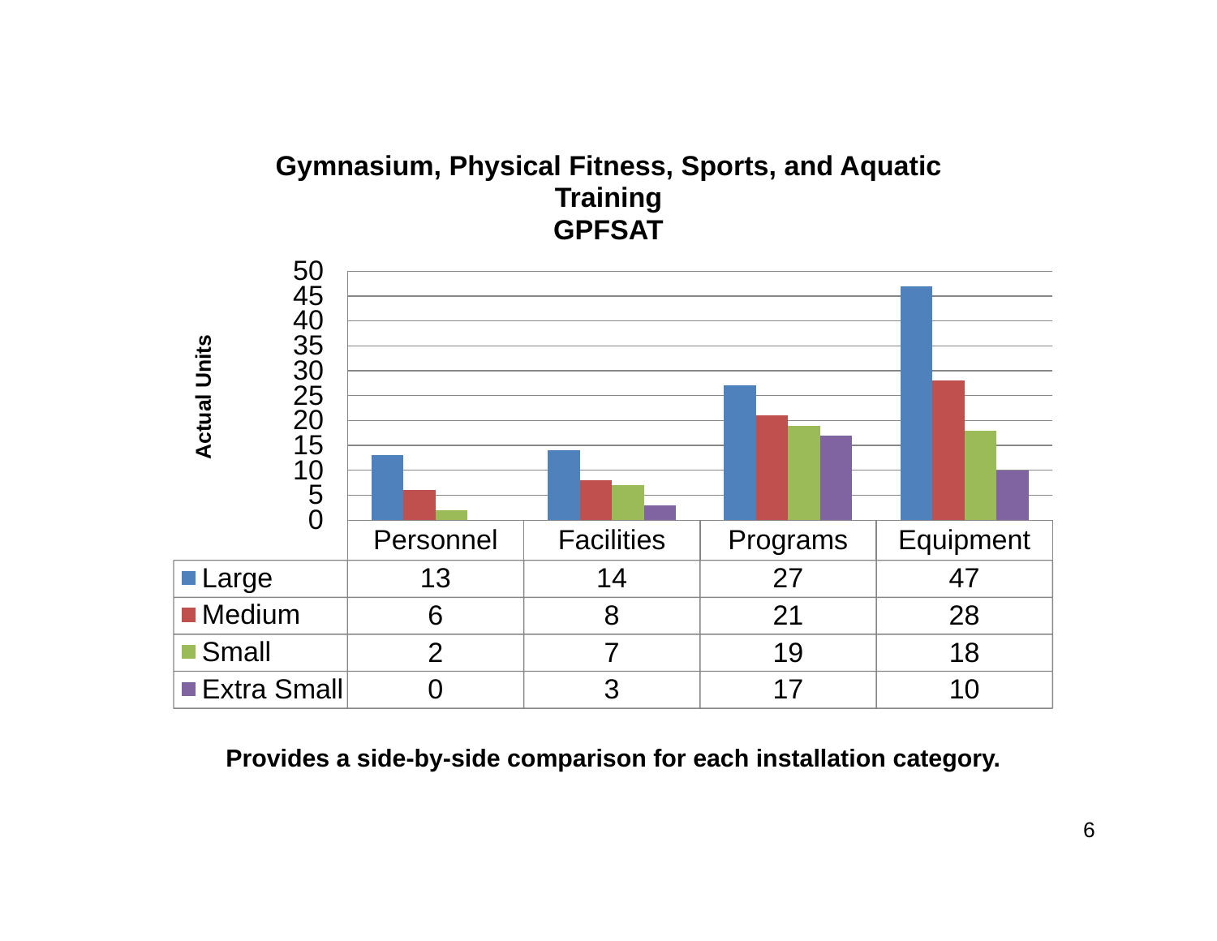## **Gymnasium, Physical Fitness, Sports, and Aquatic Training GPFSAT**

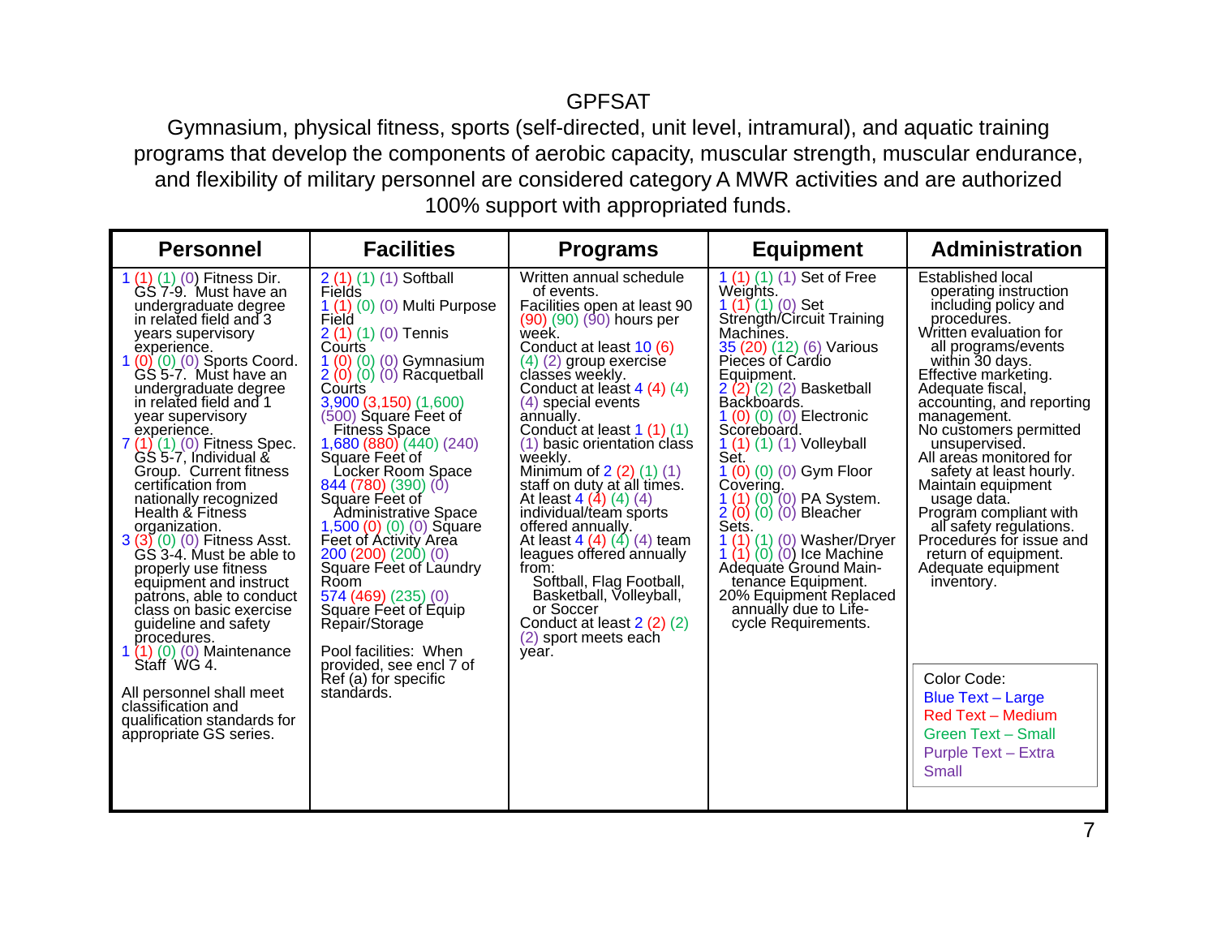### GPFSAT

 Gymnasium, physical fitness, sports (self-directed, unit level, intramural), and aquatic training programs that develop the components of aerobic capacity, muscular strength, muscular endurance, and flexibility of military personnel are considered category A MWR activities and are authorized 100% support with appropriated funds.

| <b>Personnel</b>                                                                                                                                                                                                                                                                                                                                                                                                                                                                                                                                                                                                                                                                                | <b>Facilities</b>                                                                                                                                                                                                                                                                                                                                                                                                                                                                                                                                                                         | <b>Programs</b>                                                                                                                                                                                                                                                                                                                                                                                                                                                                                                                                                                                                                                                              | <b>Equipment</b>                                                                                                                                                                                                                                                                                                                                                                                                                                                                                                                                                                               | <b>Administration</b>                                                                                                                                                                                                                                                                                                                                                                                                                                                                                                                   |
|-------------------------------------------------------------------------------------------------------------------------------------------------------------------------------------------------------------------------------------------------------------------------------------------------------------------------------------------------------------------------------------------------------------------------------------------------------------------------------------------------------------------------------------------------------------------------------------------------------------------------------------------------------------------------------------------------|-------------------------------------------------------------------------------------------------------------------------------------------------------------------------------------------------------------------------------------------------------------------------------------------------------------------------------------------------------------------------------------------------------------------------------------------------------------------------------------------------------------------------------------------------------------------------------------------|------------------------------------------------------------------------------------------------------------------------------------------------------------------------------------------------------------------------------------------------------------------------------------------------------------------------------------------------------------------------------------------------------------------------------------------------------------------------------------------------------------------------------------------------------------------------------------------------------------------------------------------------------------------------------|------------------------------------------------------------------------------------------------------------------------------------------------------------------------------------------------------------------------------------------------------------------------------------------------------------------------------------------------------------------------------------------------------------------------------------------------------------------------------------------------------------------------------------------------------------------------------------------------|-----------------------------------------------------------------------------------------------------------------------------------------------------------------------------------------------------------------------------------------------------------------------------------------------------------------------------------------------------------------------------------------------------------------------------------------------------------------------------------------------------------------------------------------|
| 1 (1) (1) (0) Fitness Dir.<br>GS 7-9. Must have an<br>undergraduate degree<br>in related field and 3<br>years supervisory<br>experience.<br>1 (0) (0) (0) Sports Coord.<br>GS 5-7. Must have an<br>undergraduate degree<br>in related field and 1<br>year supervisory<br>experience.<br>7 (1) (1) (0) Fitness Spec.<br>GS 5-7, Individual &<br>Group. Current fitness<br>certification from<br>nationally recognized<br>Health & Fitness<br>organization.<br>$3(3)(0)(0)$ Fitness Asst.<br>GS 3-4. Must be able to<br>properly use fitness<br>equipment and instruct<br>patrons, able to conduct<br>class on basic exercise<br>guideline and safety<br>procedures.<br>1 (1) (0) (0) Maintenance | $2(1)(1)(1)$ Softball<br>Fields<br>1 (1) (0) (0) Multi Purpose<br>Field<br>2 (1) (1) (0) Tennis<br>Courts<br>1 (0) (0) (0) Gymnasium<br>$2(0)(0)(0)$ Rácquetball<br>Courts<br>3,900 (3,150) (1,600)<br>$(500)$ Square Feet of<br><b>Fitness Space</b><br>,680 (880) (440) (240)<br>Square Feet of<br>Locker Room Space<br>844 (780) (390) (0)<br>Square Feet of<br>Administrative Space<br>1,500 (0) (0) (0) Square<br>Feet of Activity Area<br>200(200)(200)(0)<br>Square Feet of Laundry<br>Room<br>574(469)(235)(0)<br>Square Feet of Equip<br>Repair/Storage<br>Pool facilities: When | Written annual schedule<br>of events.<br>Facilities open at least 90<br>$(90)$ $(90)$ $(90)$ hours per<br>week.<br>Conduct at least 10 (6)<br>$(4)$ $(2)$ group exercise<br>classes weekly.<br>Conduct at least $4(4)(4)$<br>(4) special events<br>annually.<br>Conduct at least 1 (1) (1)<br>(1) basic orientation class<br>weekly.<br>Minimum of $2(2)(1)(1)$<br>staff on duty at all times.<br>At least $4(4)(4)(4)$<br>individual/team sports<br>offered annually.<br>At least $4(4)(4)(4)$ team<br>leagues offered annually<br>from:<br>Softball, Flag Football,<br>Basketball, Volleyball,<br>or Soccer<br>Conduct at least $2(2)(2)$<br>(2) sport meets each<br>year. | 1 (1) (1) (1) Set of Free<br>Weights.<br>$1(1)(1)(0)$ Set<br>Strength/Circuit Training<br>Machines.<br>35 (20) (12) (6) Various<br>Pieces of Cardio<br>Equipment.<br>$2(2)(2)(2)$ Basketball<br>Backboards.<br>1 (0) (0) (0) Electronic<br>Scoreboard.<br>$1(1)(1)(1)$ Volleyball<br>Set.<br>1 $(0)$ $(0)$ $(0)$ Gym Floor<br>Covering.<br>1 (1) (0) (0) PA System.<br>2 (0) (0) (0) Bleacher<br>Sets.<br>$(1)$ $(0)$ Washer/Dryer<br>$(0)$ $(0)$ Ice Machine<br>1(1)<br>Adequate Ground Main-<br>tenance Equipment.<br>20% Equipment Replaced<br>annually due to Life-<br>cycle Requirements. | <b>Established local</b><br>operating instruction<br>including policy and<br>procedures.<br>Written evaluation for<br>all programs/events<br>within 30 days.<br>Effective marketing.<br>Adequate fiscal,<br>accounting, and reporting<br>management.<br>No customers permitted<br>unsupervised.<br>All areas monitored for<br>safety at least hourly.<br>Maintain equipment<br>usage data.<br>Program compliant with<br>all safety regulations.<br>Procedures for issue and<br>return of equipment.<br>Adequate equipment<br>inventory. |
| Staff WG 4.<br>All personnel shall meet<br>classification and<br>qualification standards for<br>appropriate GS series.                                                                                                                                                                                                                                                                                                                                                                                                                                                                                                                                                                          | provided, see encl 7 of<br>Ref (a) for specific<br>standards.                                                                                                                                                                                                                                                                                                                                                                                                                                                                                                                             |                                                                                                                                                                                                                                                                                                                                                                                                                                                                                                                                                                                                                                                                              |                                                                                                                                                                                                                                                                                                                                                                                                                                                                                                                                                                                                | Color Code:<br><b>Blue Text - Large</b><br><b>Red Text - Medium</b><br><b>Green Text - Small</b><br><b>Purple Text - Extra</b><br>Small                                                                                                                                                                                                                                                                                                                                                                                                 |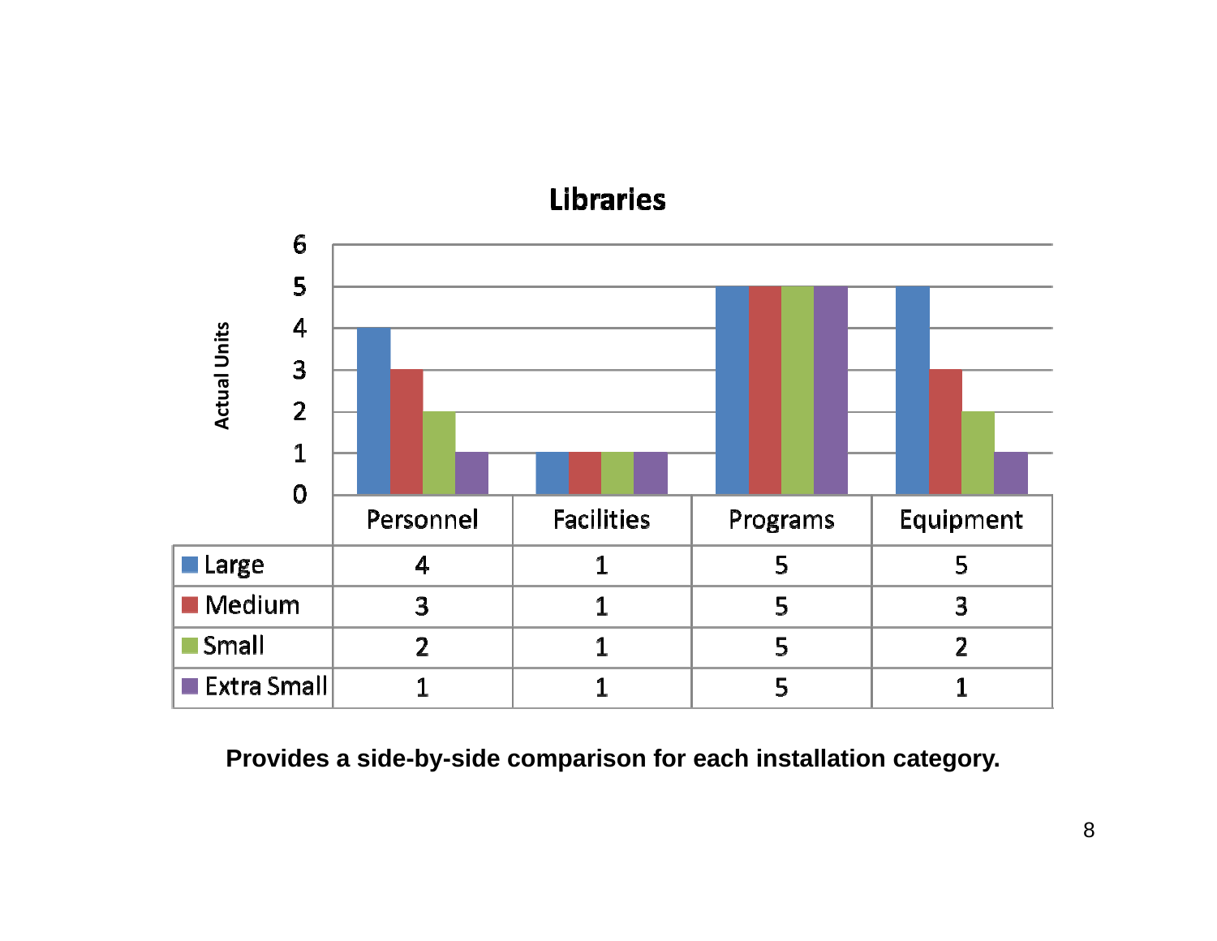## **Libraries**

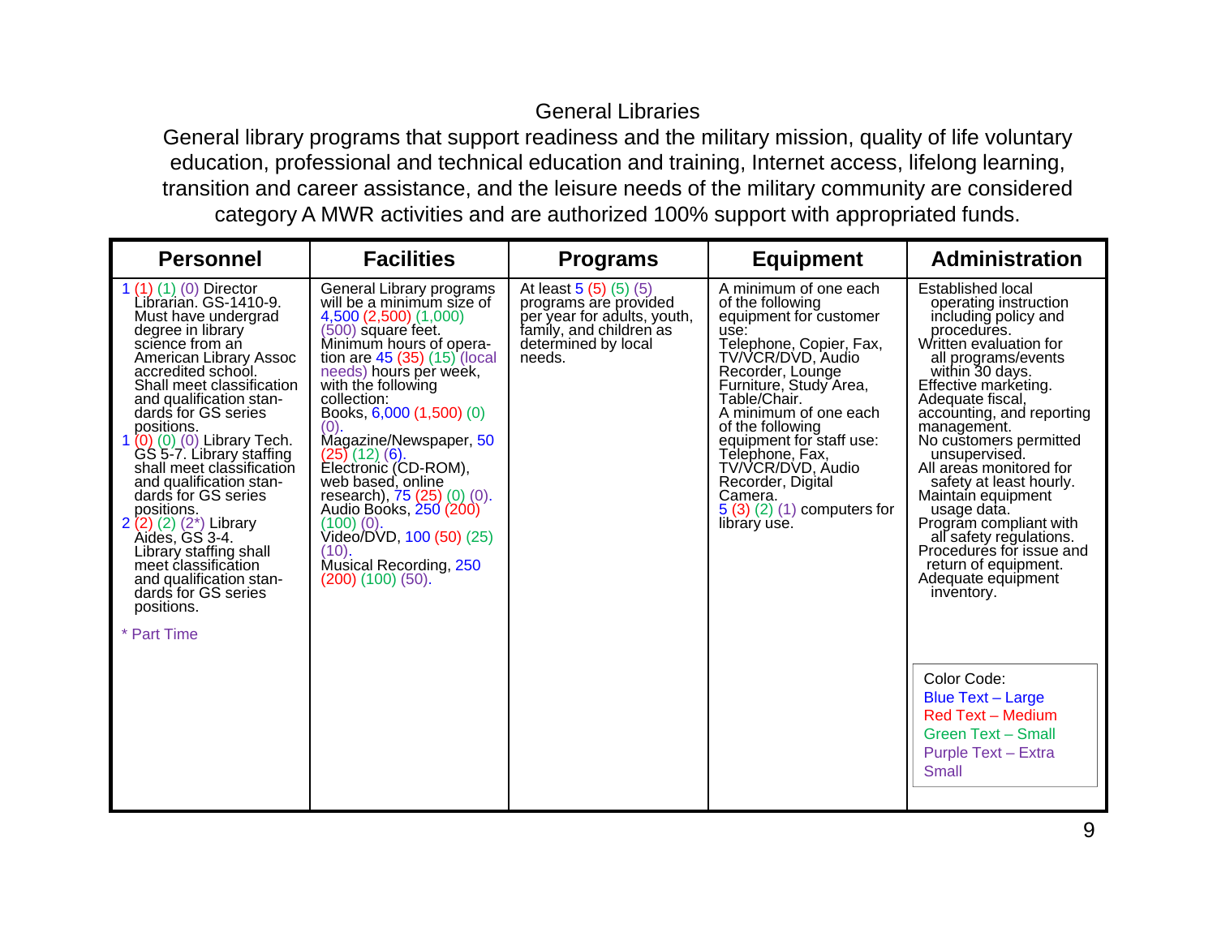## General Libraries

 General library programs that support readiness and the military mission, quality of life voluntary education, professional and technical education and training, Internet access, lifelong learning, transition and career assistance, and the leisure needs of the military community are considered category A MWR activities and are authorized 100% support with appropriated funds.

| <b>Personnel</b>                                                                                                                                                                                                                                                                                                                                                                                                                                                                                                                                                                                  | <b>Facilities</b>                                                                                                                                                                                                                                                                                                                                                                                                                                                                                                                | <b>Programs</b>                                                                                                                           | <b>Equipment</b>                                                                                                                                                                                                                                                                                                                                                                         | <b>Administration</b>                                                                                                                                                                                                                                                                                                                                                                                                                                                                                                                                                                                                                                                                     |
|---------------------------------------------------------------------------------------------------------------------------------------------------------------------------------------------------------------------------------------------------------------------------------------------------------------------------------------------------------------------------------------------------------------------------------------------------------------------------------------------------------------------------------------------------------------------------------------------------|----------------------------------------------------------------------------------------------------------------------------------------------------------------------------------------------------------------------------------------------------------------------------------------------------------------------------------------------------------------------------------------------------------------------------------------------------------------------------------------------------------------------------------|-------------------------------------------------------------------------------------------------------------------------------------------|------------------------------------------------------------------------------------------------------------------------------------------------------------------------------------------------------------------------------------------------------------------------------------------------------------------------------------------------------------------------------------------|-------------------------------------------------------------------------------------------------------------------------------------------------------------------------------------------------------------------------------------------------------------------------------------------------------------------------------------------------------------------------------------------------------------------------------------------------------------------------------------------------------------------------------------------------------------------------------------------------------------------------------------------------------------------------------------------|
| 1 (1) (1) (0) Director<br>Librarian. GS-1410-9.<br>Must have undergrad<br>degree in library<br>science from an<br>American Library Assoc<br>accredited school.<br>Shall meet classification<br>and qualification stan-<br>dards for GS series<br>positions.<br>1 (0) (0) (0) Library Tech.<br>GS 5-7. Library staffing<br>shall meet classification<br>and qualification stan-<br>dards for GS series<br>positions.<br>$2(2)(2)(2^{*})$ Library<br>Aides, GS 3-4.<br>Library staffing shall<br>meet classification<br>and qualification stan-<br>dards for GS series<br>positions.<br>* Part Time | General Library programs<br>will be a minimum size of<br>4,500 (2,500) (1,000)<br>$(500)$ square feet.<br>Minimum hours of opera-<br>tion are $45(35)(15)$ (local needs) hours per week,<br>with the following<br>collection:<br>Books, 6,000 (1,500) (0)<br>(0).<br>Magazine/Newspaper, 50<br>$(25)$ (12) (6).<br>Electronic (CD-ROM),<br>web based, online<br>research), 75 (25) (0) (0).<br>Audio Books, 250 (200)<br>$(100)(0)$ .<br>Video/DVD, 100 (50) (25)<br>(10).<br>Musical Recording, 250<br>$(200)$ $(100)$ $(50)$ . | At least $5(5)(5)(5)$<br>programs are provided<br>per year for adults, youth,<br>famíly, and children as<br>determined by local<br>needs. | A minimum of one each<br>of the following<br>equipment for customer<br>use:<br>Telephone, Copier, Fax,<br>TV/VCR/DVD, Audio<br>Recorder, Lounge<br>Furniture, Study Area,<br>Table/Chair.<br>A minimum of one each<br>of the following<br>equipment for staff use:<br>Telephone, Fax,<br>TV/VCR/DVD, Audio<br>Recorder, Digital<br>Camera.<br>$5(3)(2)(1)$ computers for<br>library use. | <b>Established local</b><br>operating instruction<br>including policy and<br>procedures.<br>Written evaluation for<br>all programs/events<br>within 30 days.<br>Effective marketing.<br>Adequate fiscal,<br>accounting, and reporting<br>management.<br>No customers permitted<br>unsupervised.<br>All areas monitored for<br>safety at least hourly.<br>Maintain equipment<br>usage data.<br>Program compliant with<br>all safety regulations.<br>Procedures for issue and<br>return of equipment.<br>Adequate equipment<br>inventory.<br>Color Code:<br><b>Blue Text - Large</b><br><b>Red Text - Medium</b><br><b>Green Text - Small</b><br><b>Purple Text - Extra</b><br><b>Small</b> |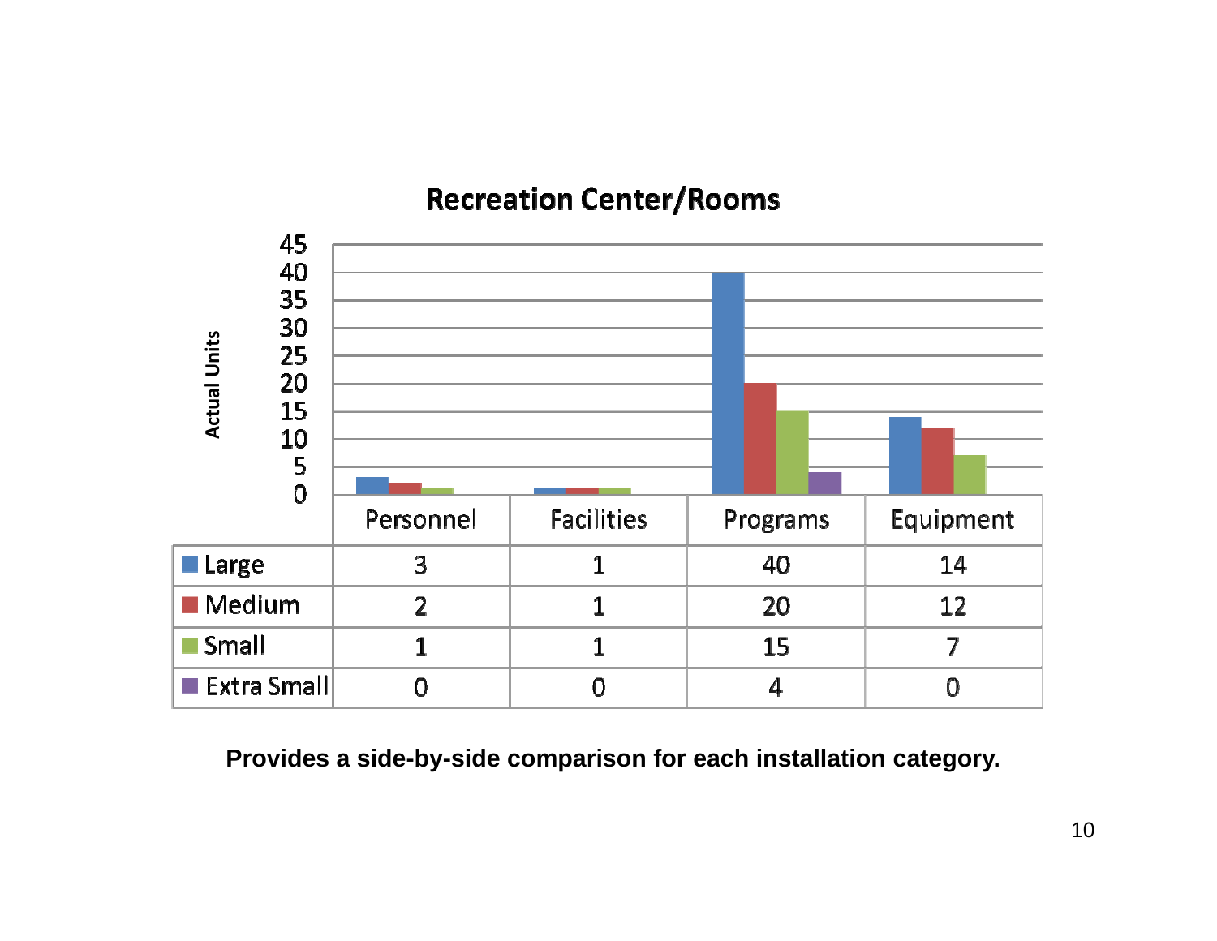## **Recreation Center/Rooms**

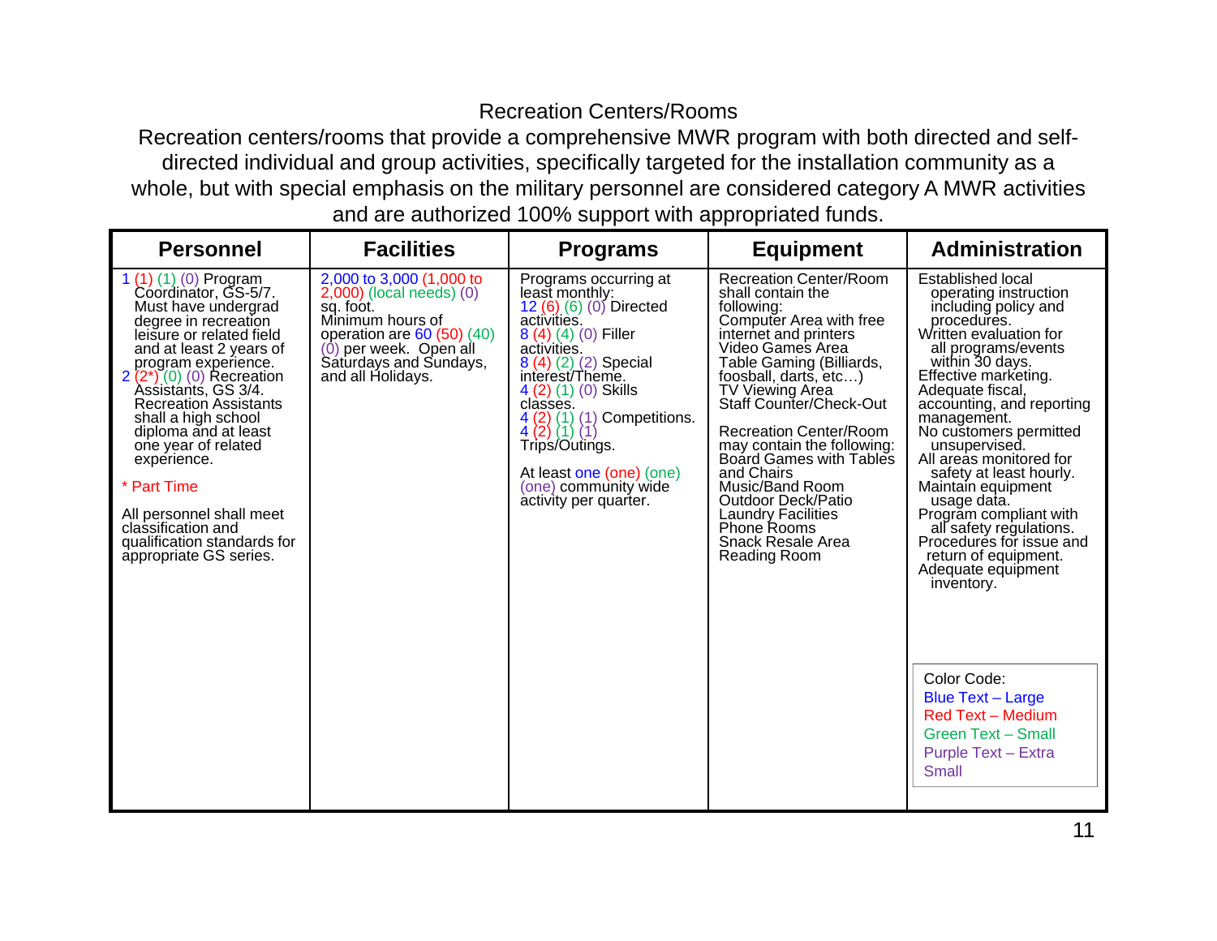## Recreation Centers/Rooms

 Recreation centers/rooms that provide a comprehensive MWR program with both directed and selfdirected individual and group activities, specifically targeted for the installation community as a whole, but with special emphasis on the military personnel are considered category A MWR activities and are authorized 100% support with appropriated funds.

| <b>Personnel</b>                                                                                                                                                                                                                                                                                                                                                                                                                                                                  | <b>Facilities</b>                                                                                                                                                                                   | <b>Programs</b>                                                                                                                                                                                                                                                                                                                                                                                                                                      | <b>Equipment</b>                                                                                                                                                                                                                                                                                                                                                                                                                                                                                          | <b>Administration</b>                                                                                                                                                                                                                                                                                                                                                                                                                                                                                                                                                                                                                                                                     |
|-----------------------------------------------------------------------------------------------------------------------------------------------------------------------------------------------------------------------------------------------------------------------------------------------------------------------------------------------------------------------------------------------------------------------------------------------------------------------------------|-----------------------------------------------------------------------------------------------------------------------------------------------------------------------------------------------------|------------------------------------------------------------------------------------------------------------------------------------------------------------------------------------------------------------------------------------------------------------------------------------------------------------------------------------------------------------------------------------------------------------------------------------------------------|-----------------------------------------------------------------------------------------------------------------------------------------------------------------------------------------------------------------------------------------------------------------------------------------------------------------------------------------------------------------------------------------------------------------------------------------------------------------------------------------------------------|-------------------------------------------------------------------------------------------------------------------------------------------------------------------------------------------------------------------------------------------------------------------------------------------------------------------------------------------------------------------------------------------------------------------------------------------------------------------------------------------------------------------------------------------------------------------------------------------------------------------------------------------------------------------------------------------|
| 1 (1) (1) (0) Program<br>Coordinator, GS-5/7.<br>Must have undergrad<br>degree in recreation<br>leisure or related field<br>and at least 2 years of<br>program experience.<br>$2(2^{*})$ (0) (0) Recreation<br>Assistants, GS 3/4.<br><b>Recreation Assistants</b><br>shall a high school<br>diploma and at least<br>one year of related<br>experience.<br>* Part Time<br>All personnel shall meet<br>classification and<br>qualification standards for<br>appropriate GS series. | 2,000 to 3,000 (1,000 to<br>$2,000$ ) (local needs) $(0)$<br>sq. foot.<br>Minimum hours of<br>operation are $60(50)(40)$<br>$(0)$ per week. Open all<br>Saturdays and Sundays,<br>and all Holidays. | Programs occurring at<br>least monthly:<br>12 (6) (6) (0) Directed<br>activities.<br>8 (4) (4) (0) Filler<br>activities.<br>8 (4) (2) (2) Special<br>interest/Theme.<br>4 (2) (1) (0) Skills<br>classes.<br>Competitions.<br>$\begin{pmatrix} 4 & 2 \\ 4 & 2 \end{pmatrix} \begin{pmatrix} 1 \\ 1 \end{pmatrix} \begin{pmatrix} 1 \\ 1 \end{pmatrix}$<br>Trips/Outings.<br>At least one (one) (one)<br>(one) community wide<br>activity per quarter. | <b>Recreation Center/Room</b><br>shall contain the<br>following:<br>Computer Area with free<br>internet and printers<br>Video Games Area<br>Table Gaming (Billiards,<br>foosball, darts, etc)<br>TV Viewing Area<br>Staff Counter/Check-Out<br><b>Recreation Center/Room</b><br>may contain the following:<br>Board Games with Tables<br>and Chairs<br>Music/Band Room<br><b>Outdoor Deck/Patio</b><br><b>Laundry Facilities</b><br><b>Phone Rooms</b><br><b>Snack Resale Area</b><br><b>Reading Room</b> | <b>Established local</b><br>operating instruction<br>including policy and<br>procedures.<br>Written evaluation for<br>all programs/events<br>within 30 days.<br>Effective marketing.<br>Adequate fiscal,<br>accounting, and reporting<br>management.<br>No customers permitted<br>unsupervised.<br>All areas monitored for<br>safety at least hourly.<br>Maintain equipment<br>usage data.<br>Progrăm compliant with<br>all safety regulations.<br>Procedures for issue and<br>return of equipment.<br>Adequate equipment<br>inventory.<br>Color Code:<br><b>Blue Text - Large</b><br><b>Red Text - Medium</b><br><b>Green Text - Small</b><br><b>Purple Text - Extra</b><br><b>Small</b> |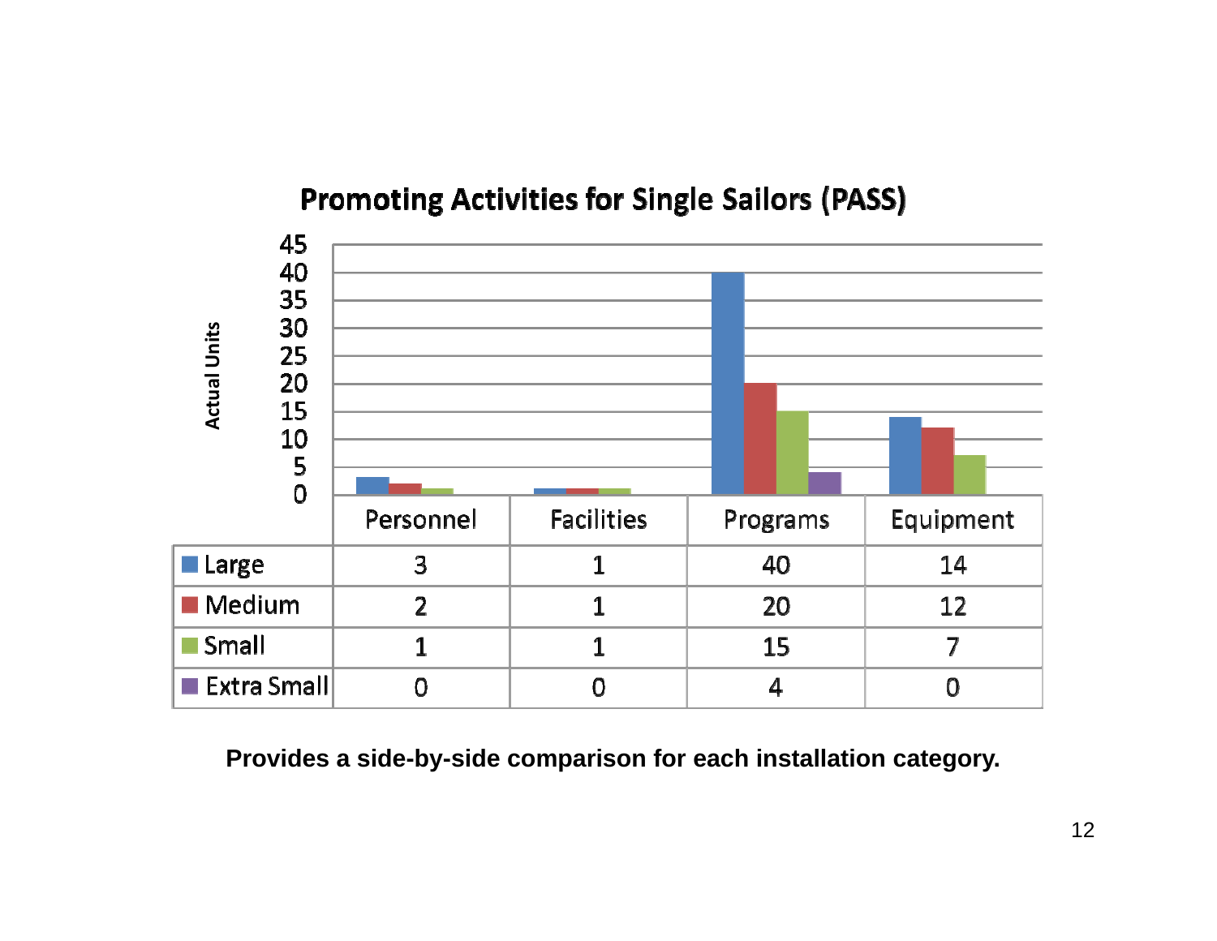## **Promoting Activities for Single Sailors (PASS)**

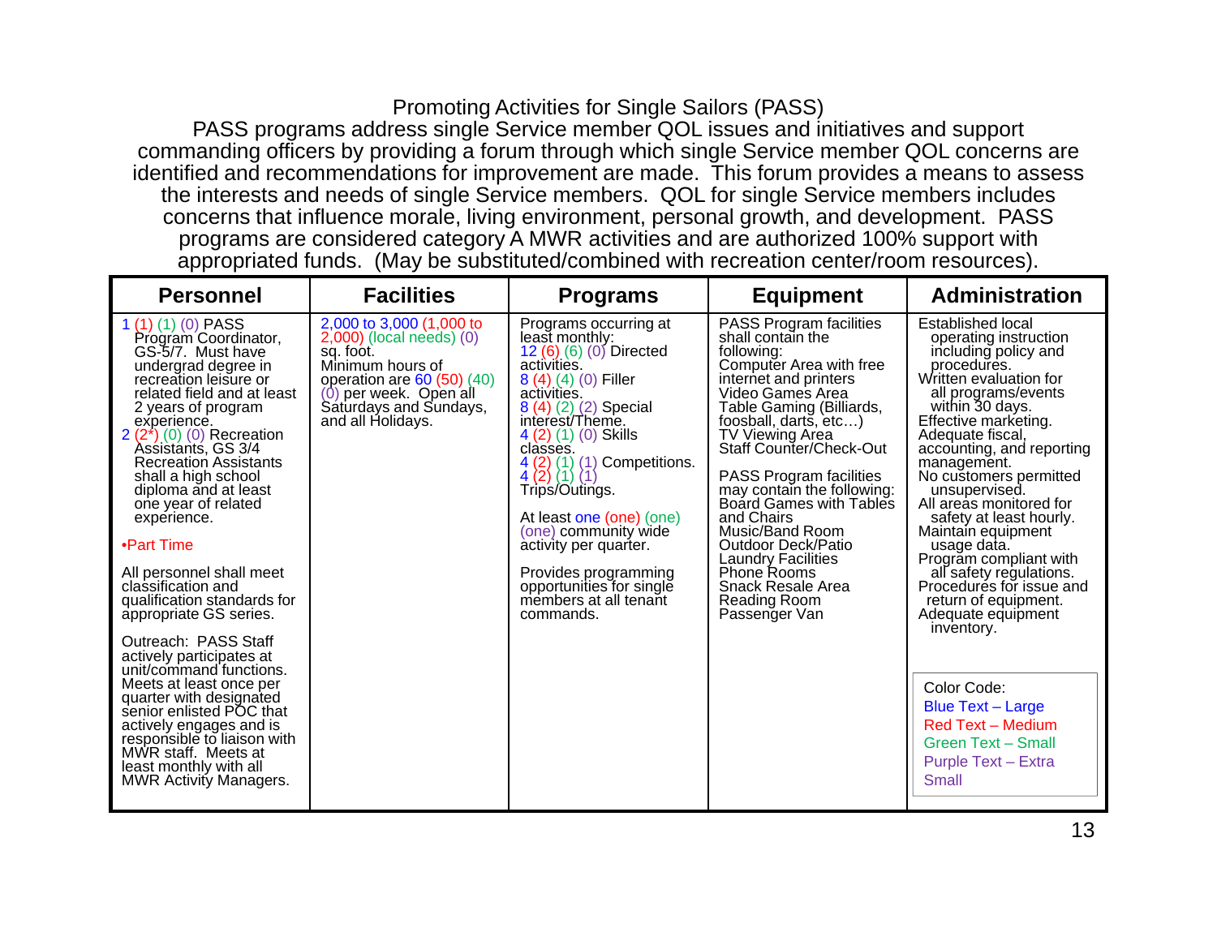### Promoting Activities for Single Sailors (PASS)

PASS programs address single Service member QOL issues and initiatives and support commanding officers by providing a forum through which single Service member QOL concerns are identified and recommendations for improvement are made. This forum provides a means to assess the interests and needs of single Service members. QOL for single Service members includes concerns that influence morale, living environment, personal growth, and development. PASS programs are considered category A MWR activities and are authorized 100% support with appropriated funds. (May be substituted/combined with recreation center/room resources).

| <b>Personnel</b>                                                                                                                                                                                                                                                                                                                                                                                                                                                                                                                                                                                                                                                                                                                                                | <b>Facilities</b>                                                                                                                                                                                    | <b>Programs</b>                                                                                                                                                                                                                                                                                                                                                                                                                                                              | <b>Equipment</b>                                                                                                                                                                                                                                                                                                                                                                                                                                                                                                      | <b>Administration</b>                                                                                                                                                                                                                                                                                                                                                                                                                                                                                                                                                                                                                                              |
|-----------------------------------------------------------------------------------------------------------------------------------------------------------------------------------------------------------------------------------------------------------------------------------------------------------------------------------------------------------------------------------------------------------------------------------------------------------------------------------------------------------------------------------------------------------------------------------------------------------------------------------------------------------------------------------------------------------------------------------------------------------------|------------------------------------------------------------------------------------------------------------------------------------------------------------------------------------------------------|------------------------------------------------------------------------------------------------------------------------------------------------------------------------------------------------------------------------------------------------------------------------------------------------------------------------------------------------------------------------------------------------------------------------------------------------------------------------------|-----------------------------------------------------------------------------------------------------------------------------------------------------------------------------------------------------------------------------------------------------------------------------------------------------------------------------------------------------------------------------------------------------------------------------------------------------------------------------------------------------------------------|--------------------------------------------------------------------------------------------------------------------------------------------------------------------------------------------------------------------------------------------------------------------------------------------------------------------------------------------------------------------------------------------------------------------------------------------------------------------------------------------------------------------------------------------------------------------------------------------------------------------------------------------------------------------|
| $1(1)(1)(0)$ PASS<br>Program Coordinator,<br>GS-5/7. Must have<br>undergrad degree in<br>recreation leisure or<br>related field and at least<br>2 years of program<br>experience.<br>$2(2*)$ (0) (0) Recreation<br>Assistants, GS 3/4<br><b>Recreation Assistants</b><br>shall a high school<br>diploma and at least<br>one year of related<br>experience.<br>•Part Time<br>All personnel shall meet<br>classification and<br>qualification standards for<br>appropriate GS series.<br>Outreach: PASS Staff<br>actively participates at<br>unit/command functions.<br>Meets at least once per<br>quarter with designated<br>senior enlisted POC that<br>actively engages and is<br>responsible to liaison with<br>MWR staff. Meets at<br>least monthly with all | 2,000 to 3,000 (1,000 to<br>$2,000$ ) (local needs) $(0)$<br>sq. foot.<br>Minimum hours of<br>operation are $60(50)(40)$<br>per week. Open all<br>(0)<br>Saturdays and Sundays,<br>and all Holidays. | Programs occurring at<br>least monthly:<br>12 (6) (6) (0) Directed<br>activities.<br>8 (4) (4) (0) Filler<br>activities.<br>8 (4) (2) (2) Special<br>interest/Theme.<br>4 (2) (1) (0) Skills<br>classes.<br>Competitions.<br>$\frac{4}{4}$ $\binom{2}{2}$<br>$(1)$ $(1)$<br>(1) (1<br>Trip's/Outings.<br>At least one (one) (one)<br>(one) community wide<br>activity per quarter.<br>Provides programming<br>opportunities for single<br>members at all tenant<br>commands. | <b>PASS Program facilities</b><br>shall contain the<br>following:<br>Computer Area with free<br>internet and printers<br>Video Games Area<br>Table Gaming (Billiards,<br>foosball, darts, etc)<br><b>TV Viewing Area</b><br><b>Staff Counter/Check-Out</b><br><b>PASS Program facilities</b><br>may contain the following:<br>Board Games with Tables<br>and Chairs<br>Music/Band Room<br>Outdoor Deck/Patio<br><b>Laundry Facilities</b><br><b>Phone Rooms</b><br>Snack Resale Area<br>Reading Room<br>Passenger Van | Established local<br>operating instruction<br>including policy and<br>procedures.<br>Written evaluation for<br>all programs/events<br>within 30 days.<br>Effective marketing.<br>Adequate fiscal.<br>accounting, and reporting<br>management.<br>No customers permitted<br>unsupervised.<br>All areas monitored for<br>safety at least hourly.<br>Maintain equipment<br>usage data.<br>Program compliant with<br>all safety regulations.<br>Procedures for issue and<br>return of equipment.<br>Adequate equipment<br>inventory.<br>Color Code:<br><b>Blue Text - Large</b><br><b>Red Text - Medium</b><br><b>Green Text - Small</b><br><b>Purple Text - Extra</b> |
| <b>MWR Activity Managers.</b>                                                                                                                                                                                                                                                                                                                                                                                                                                                                                                                                                                                                                                                                                                                                   |                                                                                                                                                                                                      |                                                                                                                                                                                                                                                                                                                                                                                                                                                                              |                                                                                                                                                                                                                                                                                                                                                                                                                                                                                                                       | <b>Small</b>                                                                                                                                                                                                                                                                                                                                                                                                                                                                                                                                                                                                                                                       |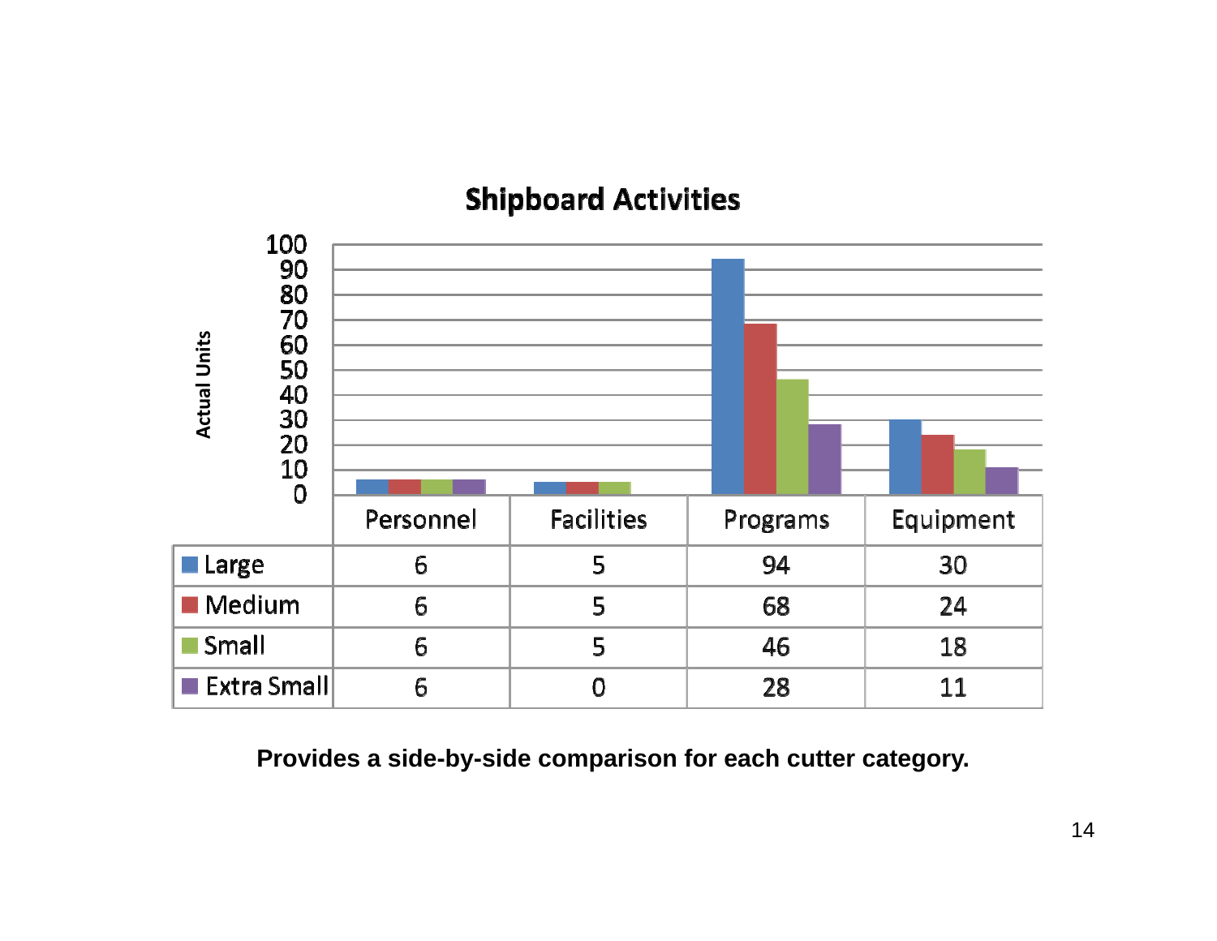## **Shipboard Activities**



**Provides a side-by-side comparison for each cutter category.**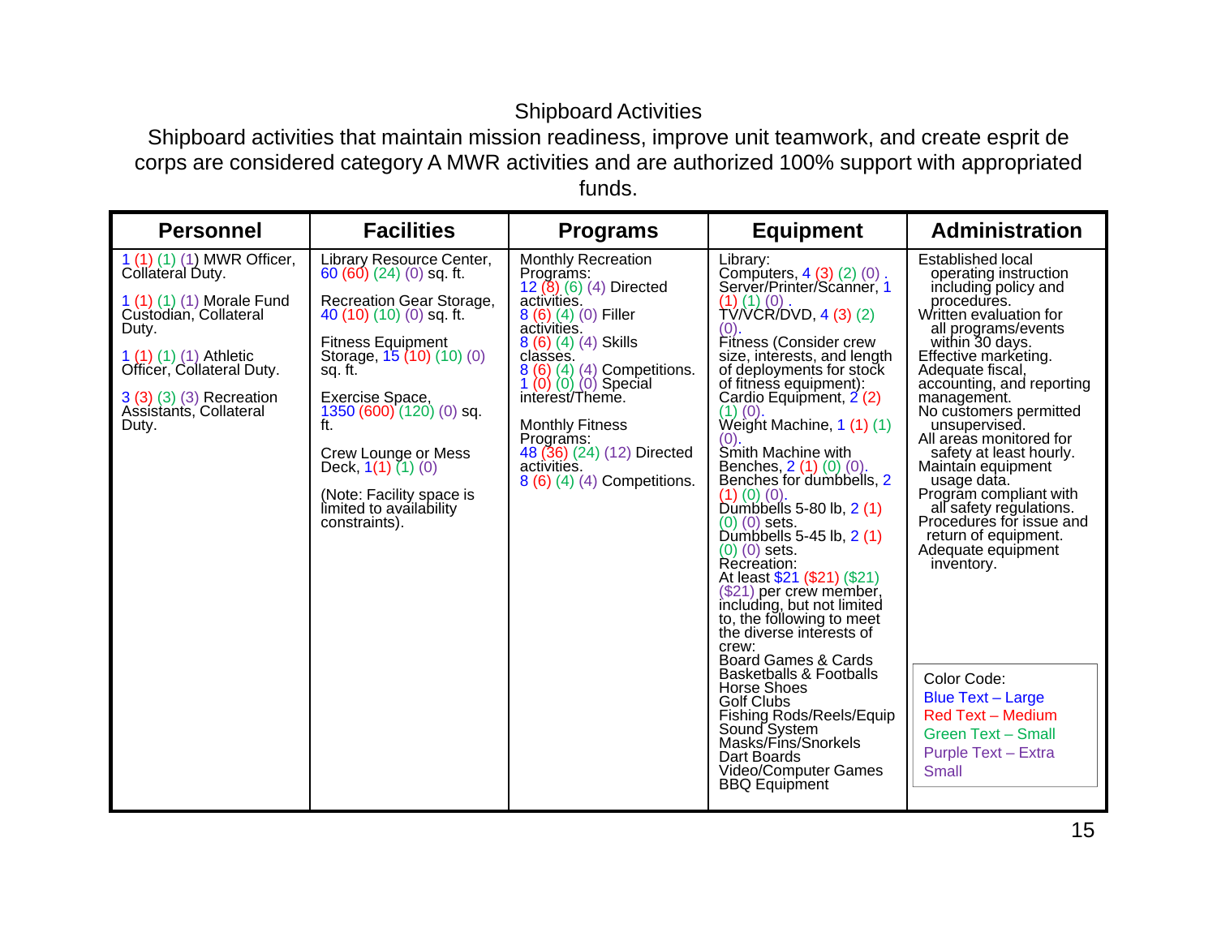## Shipboard Activities

 Shipboard activities that maintain mission readiness, improve unit teamwork, and create esprit de corps are considered category A MWR activities and are authorized 100% support with appropriated funds.

| <b>Personnel</b>                                                                                                                                                                                                                       | <b>Facilities</b>                                                                                                                                                                                                                                                                                                                                                | <b>Programs</b>                                                                                                                                                                                                                                                                                                                                          | <b>Equipment</b>                                                                                                                                                                                                                                                                                                                                                                                                                                                                                                                                                                                                                                                                                                                                                                                                                                                                                                                         | <b>Administration</b>                                                                                                                                                                                                                                                                                                                                                                                                                                                                                                                                                                                                                                                                     |
|----------------------------------------------------------------------------------------------------------------------------------------------------------------------------------------------------------------------------------------|------------------------------------------------------------------------------------------------------------------------------------------------------------------------------------------------------------------------------------------------------------------------------------------------------------------------------------------------------------------|----------------------------------------------------------------------------------------------------------------------------------------------------------------------------------------------------------------------------------------------------------------------------------------------------------------------------------------------------------|------------------------------------------------------------------------------------------------------------------------------------------------------------------------------------------------------------------------------------------------------------------------------------------------------------------------------------------------------------------------------------------------------------------------------------------------------------------------------------------------------------------------------------------------------------------------------------------------------------------------------------------------------------------------------------------------------------------------------------------------------------------------------------------------------------------------------------------------------------------------------------------------------------------------------------------|-------------------------------------------------------------------------------------------------------------------------------------------------------------------------------------------------------------------------------------------------------------------------------------------------------------------------------------------------------------------------------------------------------------------------------------------------------------------------------------------------------------------------------------------------------------------------------------------------------------------------------------------------------------------------------------------|
| 1 (1) (1) (1) MWR Officer,<br>Collateral Duty.<br>1 (1) (1) (1) Morale Fund<br>Custodian, Collateral<br>Duty.<br>$1(1)(1)(1)$ (1) Athletic<br>Officer, Collateral Duty.<br>3 (3) (3) (3) Recreation<br>Assistants, Collateral<br>Duty. | Library Resource Center,<br>$60(60)(24)(0)$ sq. ft.<br>Recreation Gear Storage,<br>40 (10) (10) (0) sq. ft.<br><b>Fitness Equipment</b><br>Storage, 15 (10) (10) (0)<br>sq. ft.<br>Exercise Space,<br>1350 (600) (120) (0) sq.<br>ft.<br>Crew Lounge or Mess<br>Deck, $1(1)$ $(1)$ $(0)$<br>(Note: Facility space is<br>limited to availability<br>constraints). | <b>Monthly Recreation</b><br>Programs:<br>12 (8) (6) (4) Directed<br>activities.<br>$8(6)(4)(0)$ Filler<br>activities.<br>8 (6) (4) (4) Skills<br>classes.<br>8 (6) (4) (4) Competitions.<br>1 (0) (0) (0) Special<br>interest/Theme.<br><b>Monthly Fitness</b><br>Programs:<br>48 (36) (24) (12) Directed<br>activities.<br>8 (6) (4) (4) Competitions. | Library:<br>Computers, 4 (3) (2) (0).<br>Server/Printer/Scanner, 1<br>$(1)(1)(0)$ .<br>TV/VCR/DVD, 4 (3) (2)<br>(0)<br>Fitness (Consider crew<br>size, interests, and length<br>of deployments for stock<br>of fitness equipment):<br>Cardio Equipment, 2 (2)<br>$(1)$ $(0)$<br>Weight Machine, 1(1)(1)<br>(0)<br>Smith Machine with<br>Benches, 2 (1) (0) (0).<br>Benches for dumbbells, 2<br>$(1)$ $(0)$ $(0)$ .<br>Dumbbells 5-80 lb, $2(1)$<br>$(0)$ $(0)$ sets.<br>Dumbbells 5-45 lb, 2 (1)<br>$(0)$ $(0)$ sets.<br>Récréation:<br>At least \$21 (\$21) (\$21)<br>(\$21) per crew member,<br>including, but not limited<br>to, the following to meet<br>the diverse interests of<br>crew:<br>Board Games & Cards<br><b>Basketballs &amp; Footballs</b><br><b>Horse Shoes</b><br><b>Golf Clubs</b><br>Fishing Rods/Reels/Equip<br>Sound System<br>Masks/Fins/Snorkels<br>Dart Boards<br>Video/Computer Games<br><b>BBQ Equipment</b> | <b>Established local</b><br>operating instruction<br>including policy and<br>procedures.<br>Written evaluation for<br>all programs/events<br>within 30 days.<br>Effective marketing.<br>Adequate fiscal,<br>accounting, and reporting<br>management.<br>No customers permitted<br>unsupervised.<br>All areas monitored for<br>safety at least hourly.<br>Maintain equipment<br>usage data.<br>Program compliant with<br>all safety regulations.<br>Procedures for issue and<br>return of equipment.<br>Adequate equipment<br>inventory.<br>Color Code:<br><b>Blue Text - Large</b><br><b>Red Text - Medium</b><br><b>Green Text - Small</b><br><b>Purple Text - Extra</b><br><b>Small</b> |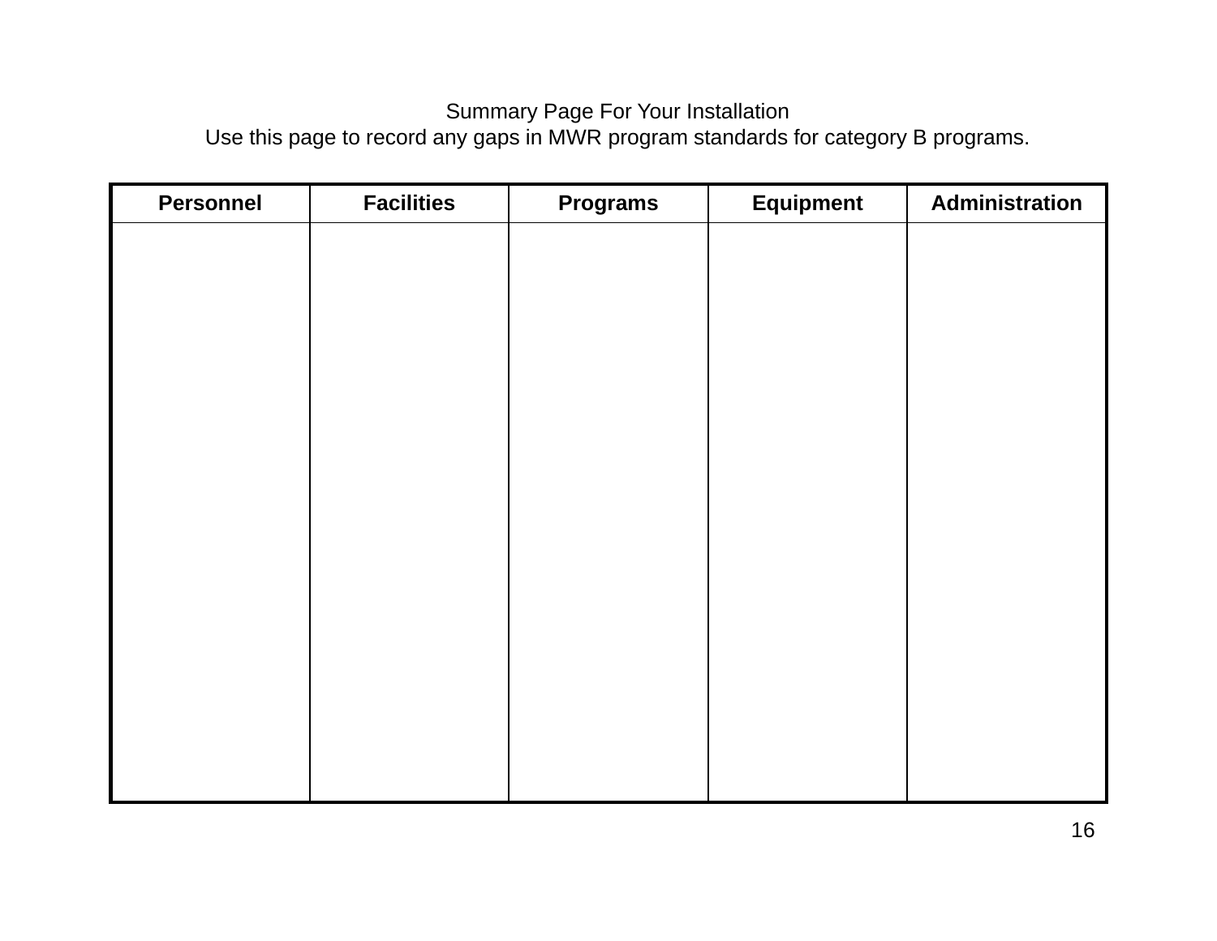## Summary Page For Your Installation

Use this page to record any gaps in MWR program standards for category B programs.

| <b>Personnel</b> | <b>Facilities</b> | <b>Programs</b> | <b>Equipment</b> | Administration |
|------------------|-------------------|-----------------|------------------|----------------|
|                  |                   |                 |                  |                |
|                  |                   |                 |                  |                |
|                  |                   |                 |                  |                |
|                  |                   |                 |                  |                |
|                  |                   |                 |                  |                |
|                  |                   |                 |                  |                |
|                  |                   |                 |                  |                |
|                  |                   |                 |                  |                |
|                  |                   |                 |                  |                |
|                  |                   |                 |                  |                |
|                  |                   |                 |                  |                |
|                  |                   |                 |                  |                |
|                  |                   |                 |                  |                |
|                  |                   |                 |                  |                |
|                  |                   |                 |                  |                |
|                  |                   |                 |                  |                |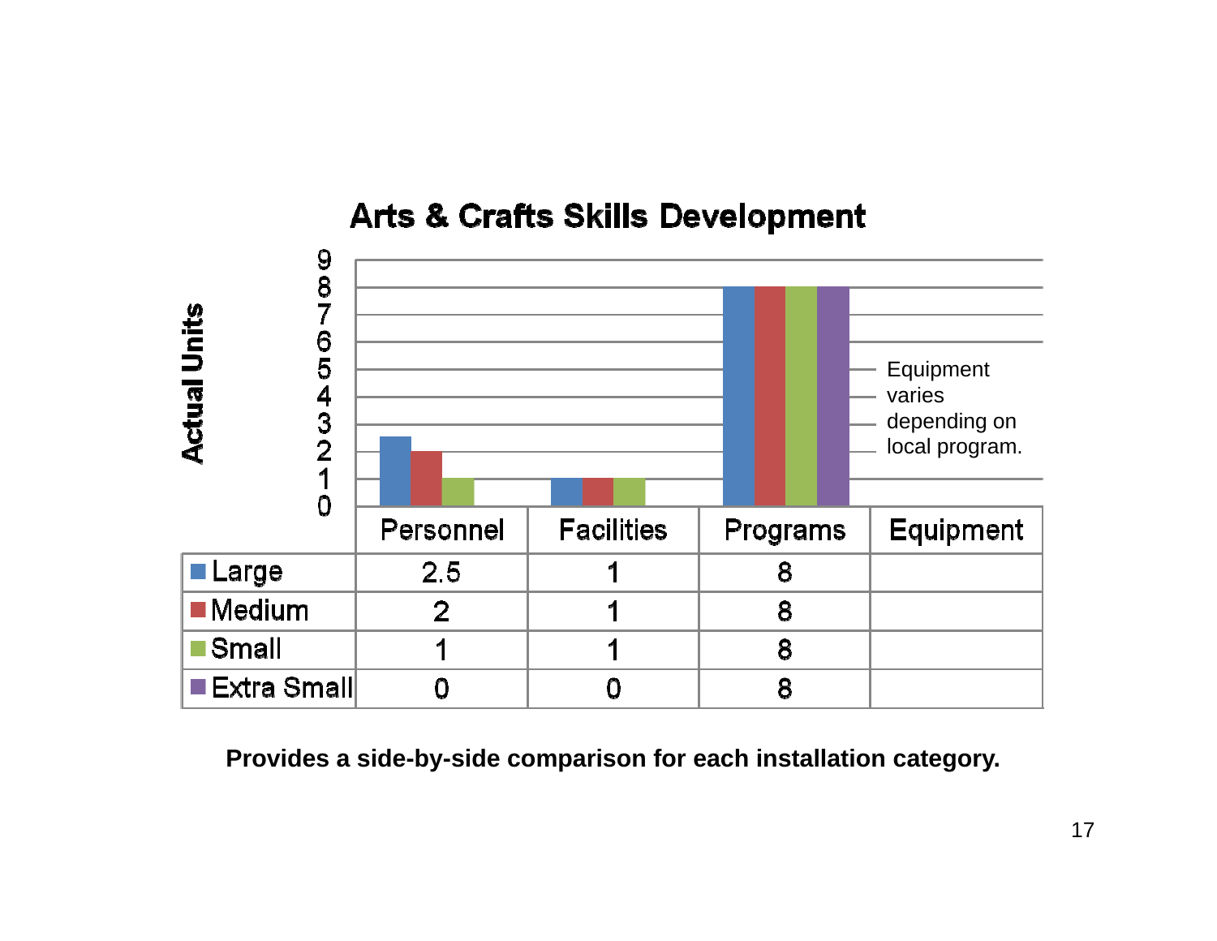# **Arts & Crafts Skills Development**

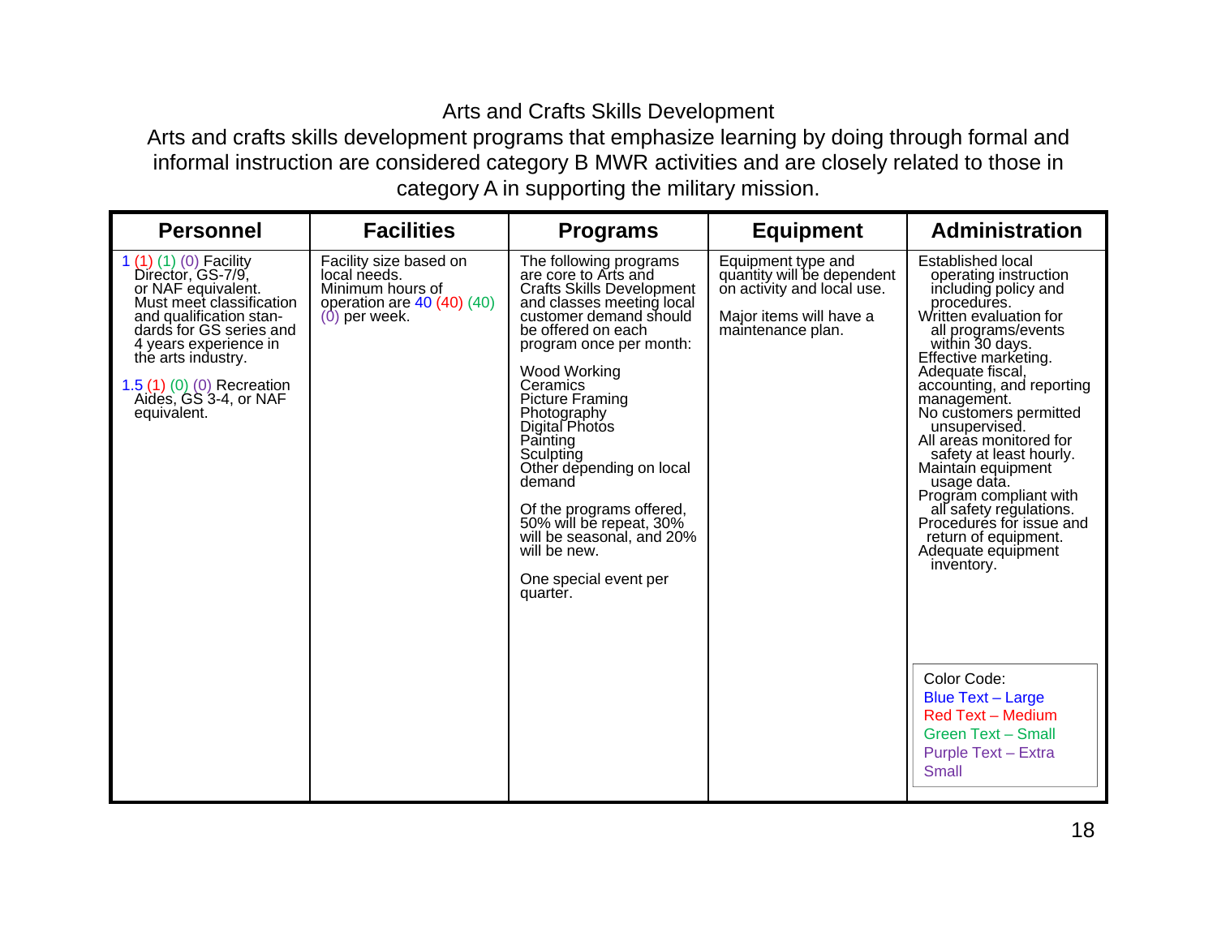## Arts and Crafts Skills Development

 Arts and crafts skills development programs that emphasize learning by doing through formal and informal instruction are considered category B MWR activities and are closely related to those in category A in supporting the military mission.

| <b>Personnel</b>                                                                                                                                                                                                                                                         | <b>Facilities</b>                                                                                           | <b>Programs</b>                                                                                                                                                                                                                                                                                                                                                                                                                                                                           | <b>Equipment</b>                                                                                                               | <b>Administration</b>                                                                                                                                                                                                                                                                                                                                                                                                                                                                                                                                                                                                                                                              |
|--------------------------------------------------------------------------------------------------------------------------------------------------------------------------------------------------------------------------------------------------------------------------|-------------------------------------------------------------------------------------------------------------|-------------------------------------------------------------------------------------------------------------------------------------------------------------------------------------------------------------------------------------------------------------------------------------------------------------------------------------------------------------------------------------------------------------------------------------------------------------------------------------------|--------------------------------------------------------------------------------------------------------------------------------|------------------------------------------------------------------------------------------------------------------------------------------------------------------------------------------------------------------------------------------------------------------------------------------------------------------------------------------------------------------------------------------------------------------------------------------------------------------------------------------------------------------------------------------------------------------------------------------------------------------------------------------------------------------------------------|
| 1 $(1)(1)(0)$ Facility<br>Director, GS-7/9,<br>or NAF equivalent.<br>Must meet classification<br>and qualification stan-<br>dards for GS series and<br>4 years experience in<br>the arts industry.<br>1.5 (1) (0) (0) Recreation<br>Aidés, GS 3-4, or NAF<br>equivalent. | Facility size based on<br>local needs.<br>Minimum hours of<br>operation are $40(40)(40)$<br>$(0)$ per week. | The following programs<br>are core to Arts and<br><b>Crafts Skills Development</b><br>and classes meeting local<br>customer demand should<br>be offered on each<br>program once per month:<br>Wood Working<br>Ceramics<br><b>Picture Framing</b><br>Photography<br>Digital Photos<br>Painting<br>Sculpting<br>Other depending on local<br>demand<br>Of the programs offered,<br>50% will be repeat, 30%<br>will be seasonal, and 20%<br>will be new.<br>One special event per<br>quarter. | Equipment type and<br>quantity will be dependent<br>on activity and local use.<br>Major items will have a<br>maintenance plan. | Established local<br>operating instruction<br>including policy and<br>procedures.<br>Written evaluation for<br>all programs/events<br>within 30 days.<br>Effective marketing.<br>Adequate fiscal,<br>accounting, and reporting<br>management.<br>No customers permitted<br>unsupervised.<br>All areas monitored for<br>safety at least hourly.<br>Maintain equipment<br>usage data.<br>Program compliant with<br>all safety regulations.<br>Procedures for issue and<br>return of equipment.<br>Adequate equipment<br>inventory.<br>Color Code:<br><b>Blue Text - Large</b><br><b>Red Text - Medium</b><br><b>Green Text - Small</b><br><b>Purple Text - Extra</b><br><b>Small</b> |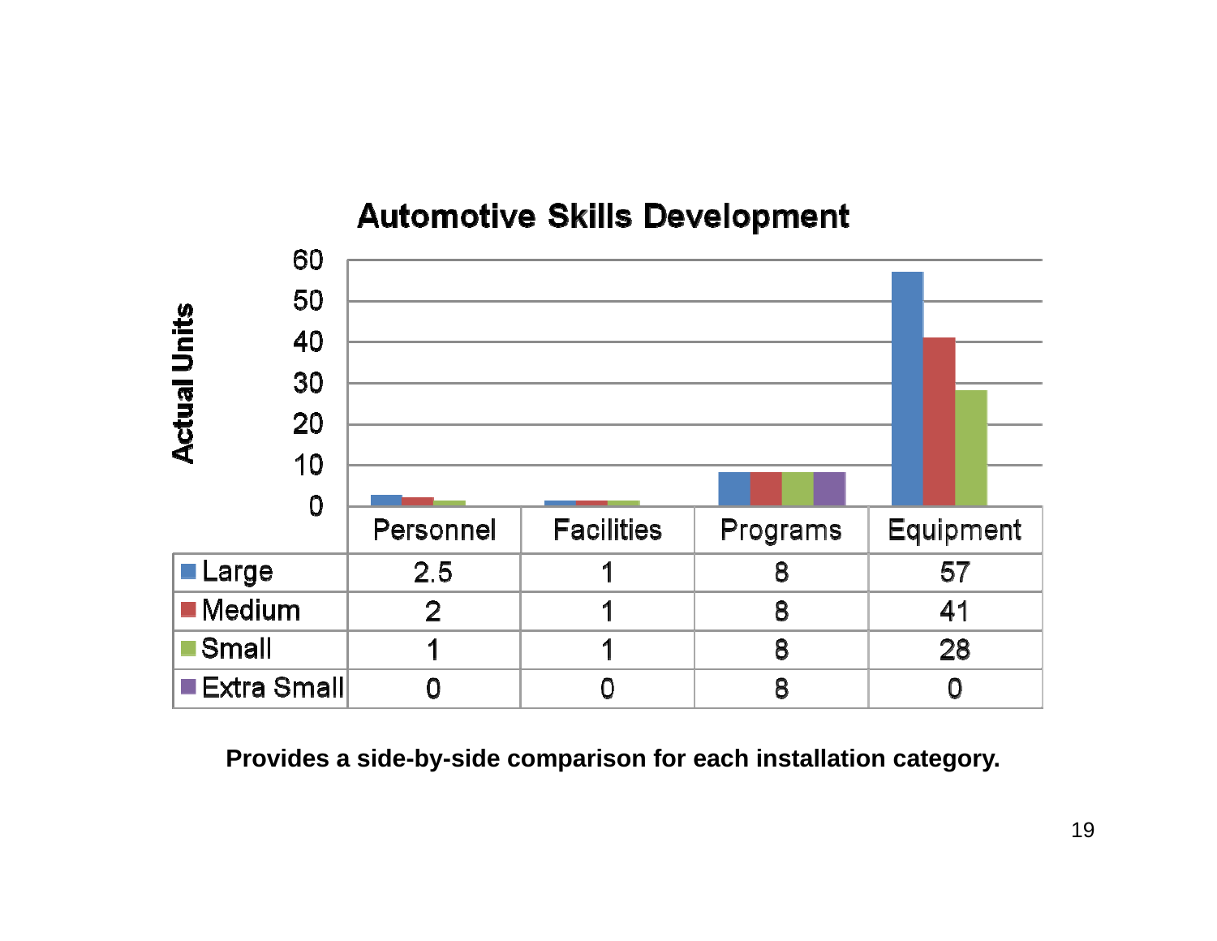## **Automotive Skills Development**

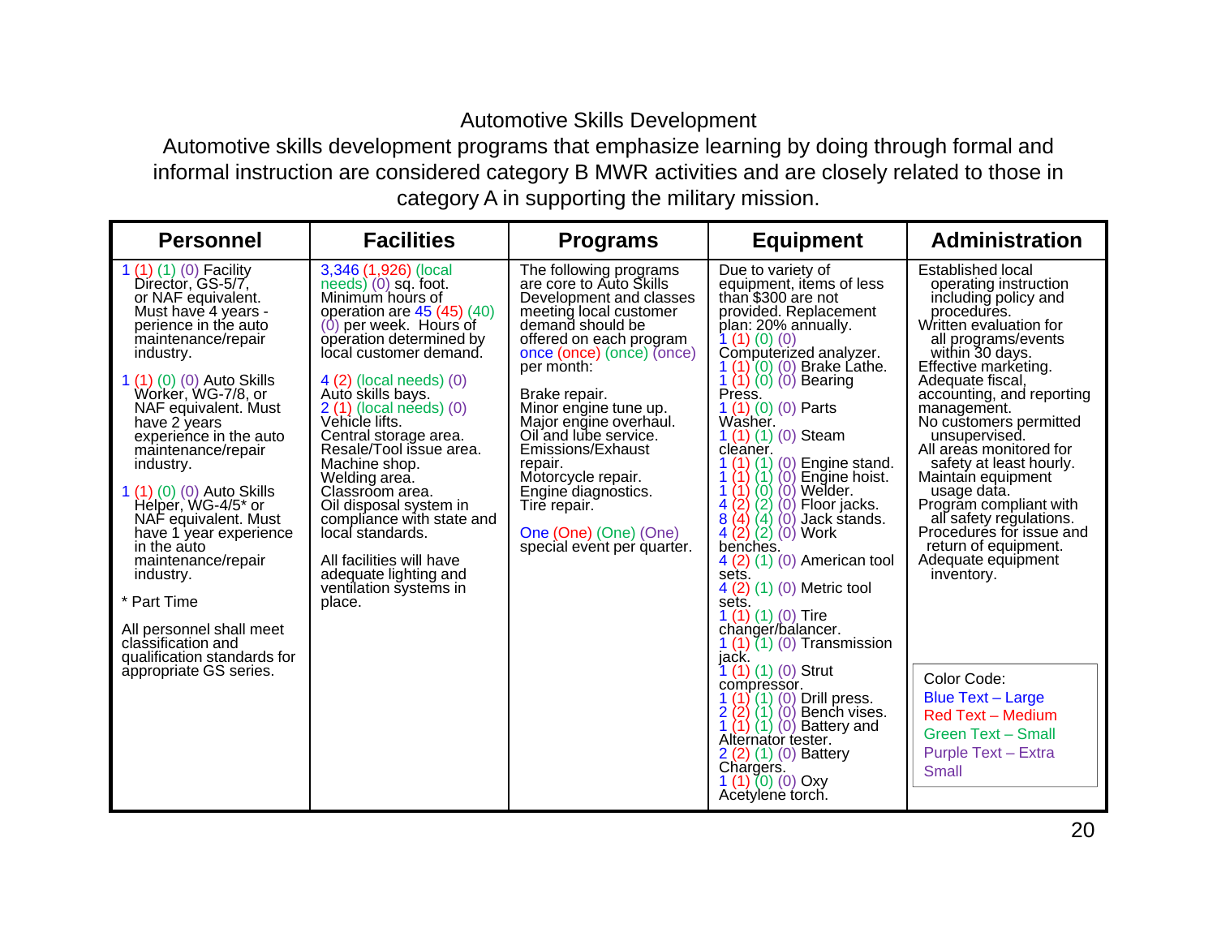## Automotive Skills Development

 Automotive skills development programs that emphasize learning by doing through formal and informal instruction are considered category B MWR activities and are closely related to those in category A in supporting the military mission.

| <b>Personnel</b>                                                                                                                                                                                                                                                                                                                                                                                                                                                                                                                                                                             | <b>Facilities</b>                                                                                                                                                                                                                                                                                                                                                                                                                                                                                                                                              | <b>Programs</b>                                                                                                                                                                                                                                                                                                                                                                                                                                   | <b>Equipment</b>                                                                                                                                                                                                                                                                                                                                                                                                                                                                                                                                                                                                                                                                                                                                                                                                                                                                                                                                       | <b>Administration</b>                                                                                                                                                                                                                                                                                                                                                                                                                                                                                                                                                                                                                                                              |
|----------------------------------------------------------------------------------------------------------------------------------------------------------------------------------------------------------------------------------------------------------------------------------------------------------------------------------------------------------------------------------------------------------------------------------------------------------------------------------------------------------------------------------------------------------------------------------------------|----------------------------------------------------------------------------------------------------------------------------------------------------------------------------------------------------------------------------------------------------------------------------------------------------------------------------------------------------------------------------------------------------------------------------------------------------------------------------------------------------------------------------------------------------------------|---------------------------------------------------------------------------------------------------------------------------------------------------------------------------------------------------------------------------------------------------------------------------------------------------------------------------------------------------------------------------------------------------------------------------------------------------|--------------------------------------------------------------------------------------------------------------------------------------------------------------------------------------------------------------------------------------------------------------------------------------------------------------------------------------------------------------------------------------------------------------------------------------------------------------------------------------------------------------------------------------------------------------------------------------------------------------------------------------------------------------------------------------------------------------------------------------------------------------------------------------------------------------------------------------------------------------------------------------------------------------------------------------------------------|------------------------------------------------------------------------------------------------------------------------------------------------------------------------------------------------------------------------------------------------------------------------------------------------------------------------------------------------------------------------------------------------------------------------------------------------------------------------------------------------------------------------------------------------------------------------------------------------------------------------------------------------------------------------------------|
| 1 (1) (1) (0) Facility<br>Director, GS-5/7,<br>or NAF equivalent.<br>Must have 4 years -<br>perience in the auto<br>maintenance/repair<br>industry.<br>1 (1) (0) (0) Auto Skills<br>Worker, WG-7/8, or<br>NAF equivalent. Must<br>have 2 years<br>experience in the auto<br>maintenance/repair<br>industry.<br>1 (1) (0) (0) Auto Skills<br>Hélper, WG-4/5* or<br>NAF equivalent. Must<br>have 1 year experience<br>in the auto<br>maintenance/repair<br>industry.<br>* Part Time<br>All personnel shall meet<br>classification and<br>qualification standards for<br>appropriate GS series. | 3,346 (1,926) (local<br>$needs)$ (0) sq. foot.<br>Minimum hours of<br>operation are $45(45)(40)$<br>$(0)$ per week. Hours of<br>operation determined by<br>local customer demand.<br>$4(2)$ (local needs) $(0)$<br>Auto skills bays.<br>2 (1) (local needs) (0)<br>Vehicle lifts.<br>Central storage area.<br>Resale/Tool issue area.<br>Machine shop.<br>Welding area.<br>Classroom area.<br>Oil disposal system in<br>compliance with state and<br>local standards.<br>All facilities will have<br>adequate lighting and<br>ventilation systems in<br>place. | The following programs<br>are core to Auto Skills<br>Development and classes<br>meeting local customer<br>demand should be<br>offered on each program<br>once (once) (once) (once)<br>per month:<br>Brake repair.<br>Minor engine tune up.<br>Major engine overhaul.<br>Oil and lube service.<br>Emissions/Exhaust<br>repair.<br>Motorcycle repair.<br>Engine diagnostics.<br>Tire repair.<br>One (One) (One) (One)<br>special event per quarter. | Due to variety of<br>equipment, items of less<br>than \$300 are not<br>provided. Replacement<br>plan: 20% annually.<br>1(1)(0)(0)<br>Computerized analyzer.<br>1 (1) (0) (0) Brake Lathe.<br>1 (1) (0) (0) Bearing<br>Press.<br>$1(1)(0)(0)$ Parts<br>Washer.<br>$1(1)(1)(0)$ Steam<br>cleaner.<br>$(1)$ $(0)$ Engine stand.<br>$(1)$ $(0)$ Engine hoist.<br>(1)<br>$\langle 0 \rangle$ $\langle 0 \rangle$ Welder.<br>1(1)<br>(2) (0) Floor jacks.<br>(4) (0) Jack stands.<br>(2) (0) Work<br>(2)<br>4<br>8(4)<br>4(2)<br>benches.<br>4 (2) (1) (0) American tool<br>sets.<br>4 (2) (1) (0) Metric tool<br>sets.<br>1 $(1)(1)(0)$ Tire<br>changer/balancer.<br>$1(1)(1)(0)$ Transmission<br>jack.<br>$1(1)(1)(0)$ Strut<br>compressor.<br>$1(1)(1)(0)$ Drill press.<br>$(1)$ $(0)$ Bench vises.<br>2(2)<br>1 $(1)$ $(1)$ $(0)$ Battery and<br>Alternator tester.<br>2 (2) (1) (0) Battery<br>Chargers.<br>1 $(1)$ $(0)$ $(0)$ Oxy<br>Acetylene torch. | Established local<br>operating instruction<br>including policy and<br>procedures.<br>Written evaluation for<br>all programs/events<br>within 30 days.<br>Effective marketing.<br>Adequate fiscal,<br>accounting, and reporting<br>management.<br>No customers permitted<br>unsupervised.<br>All areas monitored for<br>safety at least hourly.<br>Maintain equipment<br>usage data.<br>Program compliant with<br>all safety regulations.<br>Procedures for issue and<br>return of equipment.<br>Adequate equipment<br>inventory.<br>Color Code:<br><b>Blue Text - Large</b><br><b>Red Text - Medium</b><br><b>Green Text - Small</b><br><b>Purple Text - Extra</b><br><b>Small</b> |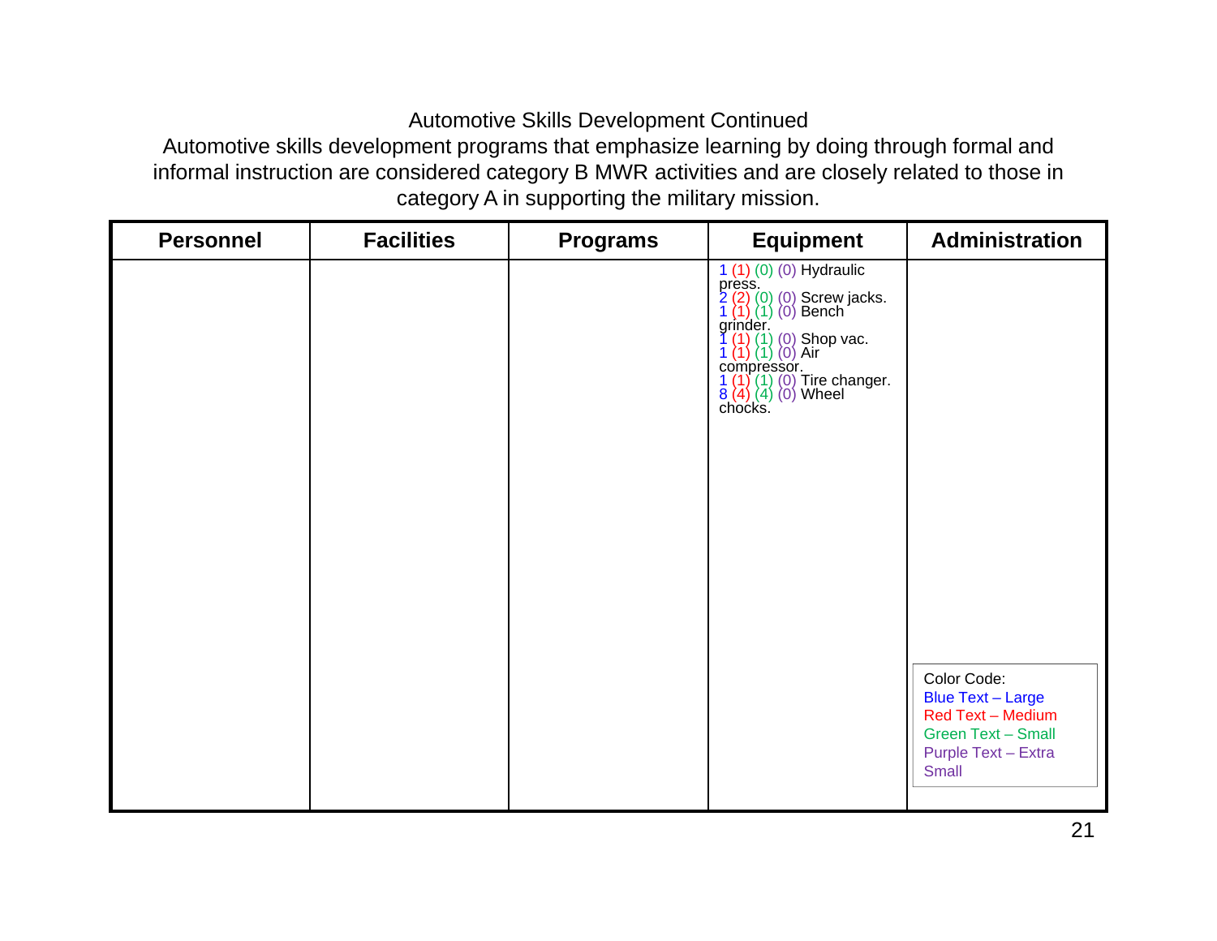## Automotive Skills Development Continued

 Automotive skills development programs that emphasize learning by doing through formal and informal instruction are considered category B MWR activities and are closely related to those in category A in supporting the military mission.

| <b>Personnel</b> | <b>Facilities</b> | <b>Programs</b> | <b>Equipment</b>                                                                                                                                                                                                         | <b>Administration</b>                                                                                                            |
|------------------|-------------------|-----------------|--------------------------------------------------------------------------------------------------------------------------------------------------------------------------------------------------------------------------|----------------------------------------------------------------------------------------------------------------------------------|
|                  |                   |                 | 1 (1) (0) (0) Hydraulic<br>press.<br>2 (2) (0) (0) Screw jacks.<br>1 (1) (1) (0) Bench<br>grinder.<br>$(1)$ (0) Shop vac.<br>(1) (0) Air<br>compressor.<br>1 (1) (1) (0) Tire changer.<br>8 (4) (4) (0) Wheel<br>chocks. | Color Code:<br><b>Blue Text - Large</b><br><b>Red Text - Medium</b><br>Green Text - Small<br>Purple Text - Extra<br><b>Small</b> |
|                  |                   |                 |                                                                                                                                                                                                                          |                                                                                                                                  |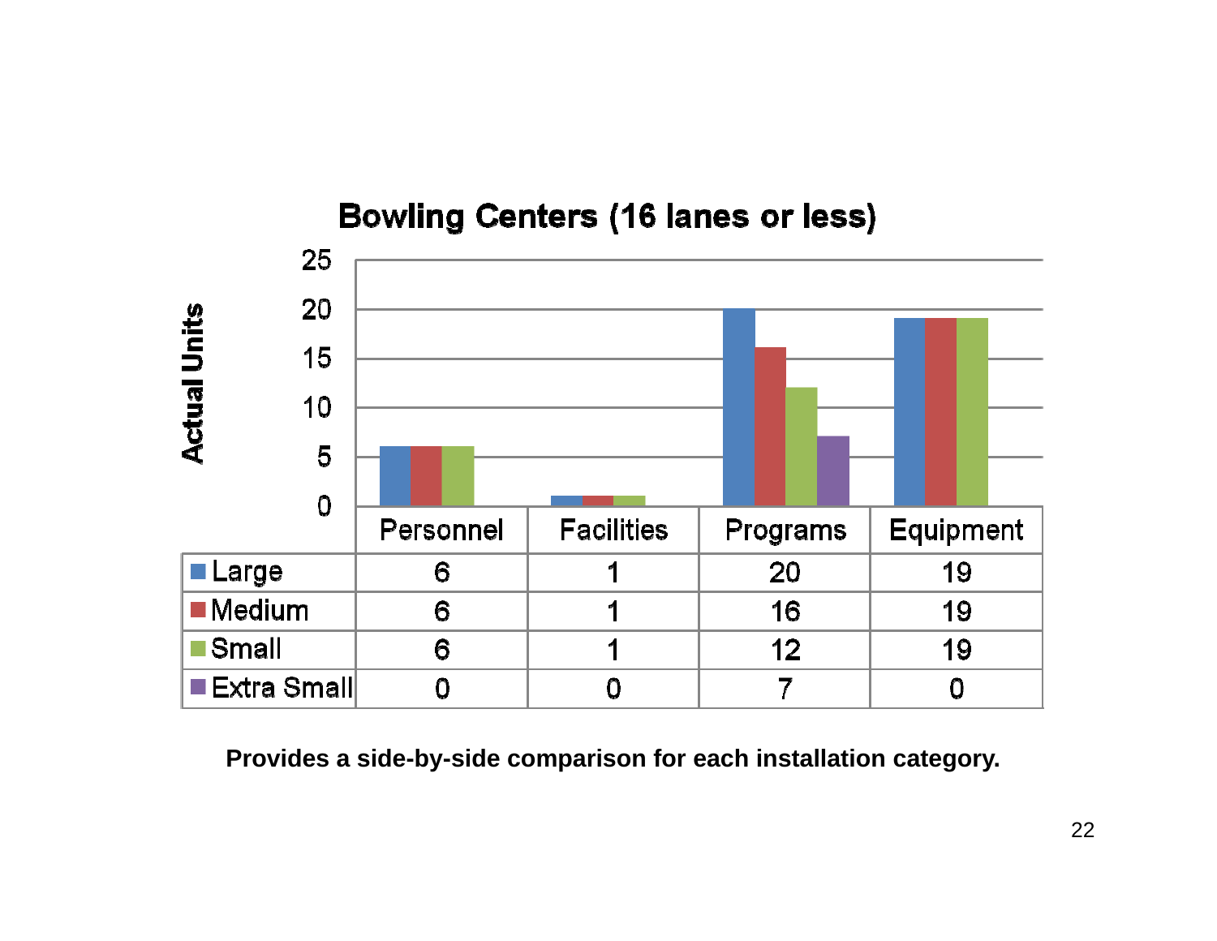

**Bowling Centers (16 lanes or less)**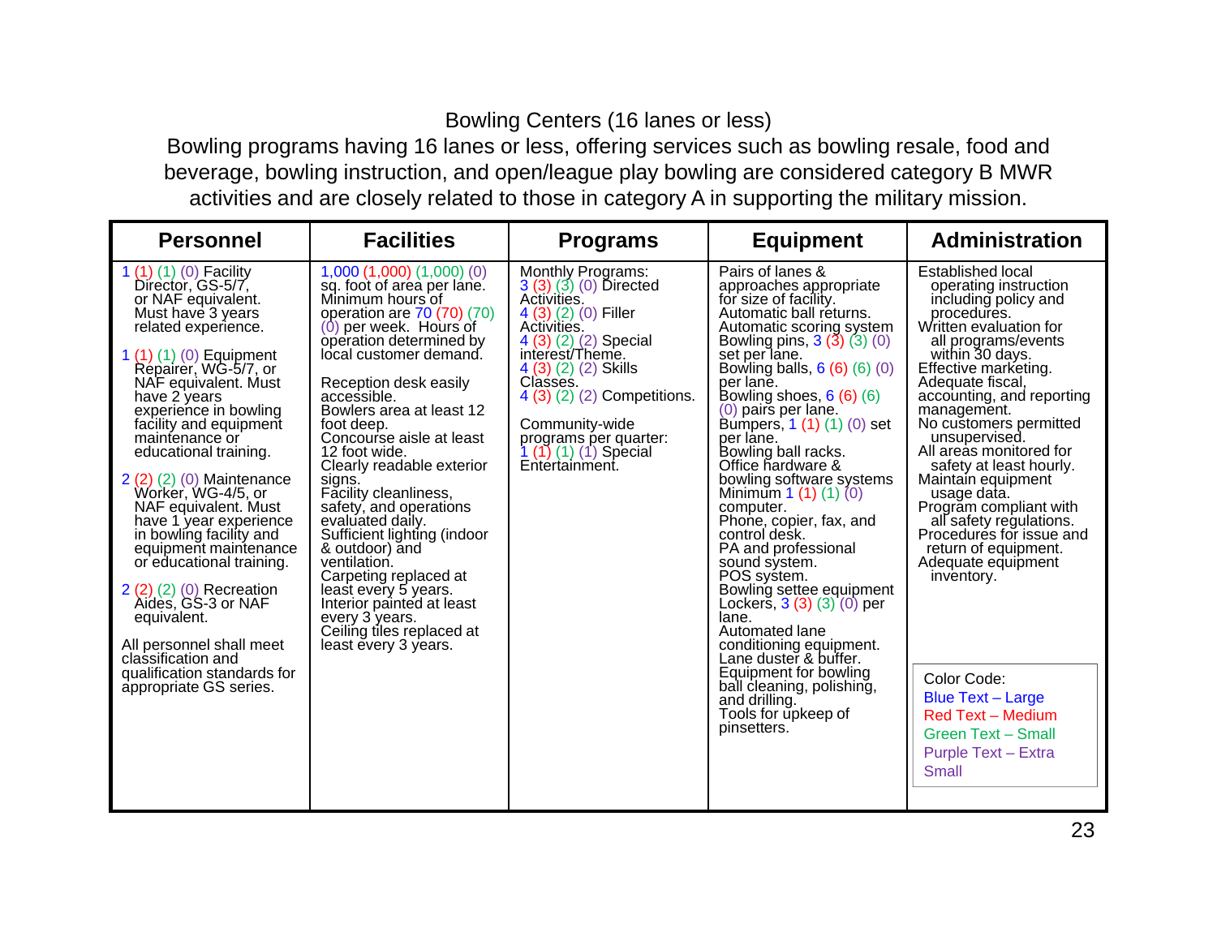## Bowling Centers (16 lanes or less)

 Bowling programs having 16 lanes or less, offering services such as bowling resale, food and beverage, bowling instruction, and open/league play bowling are considered category B MWR activities and are closely related to those in category A in supporting the military mission.

| <b>Personnel</b>                                                                                                                                                                                                                                                                                                                                                                                                                                                                                                                                                                                                                                                            | <b>Facilities</b>                                                                                                                                                                                                                                                                                                                                                                                                                                                                                                                                                                                                                                                     | <b>Programs</b>                                                                                                                                                                                                                                                                                             | <b>Equipment</b>                                                                                                                                                                                                                                                                                                                                                                                                                                                                                                                                                                                                                                                                                                                                                                            | <b>Administration</b>                                                                                                                                                                                                                                                                                                                                                                                                                                                                                                                                                                                                                                                |
|-----------------------------------------------------------------------------------------------------------------------------------------------------------------------------------------------------------------------------------------------------------------------------------------------------------------------------------------------------------------------------------------------------------------------------------------------------------------------------------------------------------------------------------------------------------------------------------------------------------------------------------------------------------------------------|-----------------------------------------------------------------------------------------------------------------------------------------------------------------------------------------------------------------------------------------------------------------------------------------------------------------------------------------------------------------------------------------------------------------------------------------------------------------------------------------------------------------------------------------------------------------------------------------------------------------------------------------------------------------------|-------------------------------------------------------------------------------------------------------------------------------------------------------------------------------------------------------------------------------------------------------------------------------------------------------------|---------------------------------------------------------------------------------------------------------------------------------------------------------------------------------------------------------------------------------------------------------------------------------------------------------------------------------------------------------------------------------------------------------------------------------------------------------------------------------------------------------------------------------------------------------------------------------------------------------------------------------------------------------------------------------------------------------------------------------------------------------------------------------------------|----------------------------------------------------------------------------------------------------------------------------------------------------------------------------------------------------------------------------------------------------------------------------------------------------------------------------------------------------------------------------------------------------------------------------------------------------------------------------------------------------------------------------------------------------------------------------------------------------------------------------------------------------------------------|
| 1 $(1)(1)(0)$ Facility<br>Director, GS-5/7,<br>or NAF equivalent.<br>Must have 3 years<br>related experience.<br>1 $(1)$ $(1)$ $(0)$ Equipment<br>Repairer, WG-5/7, or<br>NAF equivalent. Must<br>have 2 years<br>experience in bowling<br>facility and equipment<br>maintenance or<br>educational training.<br>$2(2)(2)(0)$ Maintenance<br>Worker, WG-4/5, or<br>NAF equivalent. Must<br>have 1 year experience<br>in bowling facility and<br>equipment maintenance<br>or educational training.<br>$2(2)(2)(0)$ Recreation<br>Aides, GS-3 or NAF<br>equivalent.<br>All personnel shall meet<br>classification and<br>qualification standards for<br>appropriate GS series. | $1,000$ $(1,000)$ $(1,000)$ $(0)$<br>sq. foot of area per lane.<br>Minimum hours of<br>operation are 70 (70) (70)<br>$(0)$ per week. Hours of<br>operation determined by<br>local customer demand.<br>Reception desk easily<br>accessible.<br>Bowlers area at least 12<br>foot deep.<br>Concourse aisle at least<br>12 foot wide.<br>Clearly readable exterior<br>signs.<br>Facility cleanliness,<br>safety, and operations<br>evaluated daily.<br>Sufficient lighting (indoor<br>& outdoor) and<br>ventilation.<br>Carpeting replaced at<br>least every 5 years.<br>Interior painted at least<br>every 3 years.<br>Ceiling tiles replaced at<br>least every 3 years. | <b>Monthly Programs:</b><br>$3(3)(3)(0)$ Directed<br>Activities.<br>4 (3) (2) (0) Filler<br>Activities.<br>4 (3) (2) (2) Special<br>interest/Theme.<br>$4(3)(2)(2)$ Skills<br>Classes.<br>4 (3) (2) (2) Competitions.<br>Community-wide<br>programs per quarter:<br>1 (1) (1) (1) Special<br>Entertainment. | Pairs of lanes &<br>approaches appropriate<br>for size of facility.<br>Automatic ball returns.<br>Automatic scoring system<br>Bowling pins, $3(3)(3)(0)$<br>set per lane.<br>Bowling balls, $6(6)(6)(0)$<br>per lane.<br>Bowling shoes, $6(6)(6)$<br>$(0)$ pairs per lane.<br>Bumpers, 1 (1) (1) (0) set<br>per lane.<br>Bowling ball racks.<br>Office hardware &<br>bowling software systems<br>Minimum 1 (1) (1) (0)<br>computer.<br>Phone, copier, fax, and<br>control desk.<br>PA and professional<br>sound system.<br>POS system.<br>Bowling settee equipment<br>Lockers, $3(3)(3)(0)$ per<br>lane.<br>Automated lane<br>conditioning equipment.<br>Lane duster & buffer.<br>Equipment for bowling<br>ball cleaning, polishing,<br>and drilling.<br>Tools for upkeep of<br>pinsetters. | Established local<br>operating instruction<br>including policy and<br>procedures.<br>Written evaluation for<br>all programs/events<br>within 30 days.<br>Effective marketing.<br>Adequate fiscal,<br>accounting, and reporting<br>management.<br>No customers permitted<br>unsupervised.<br>All areas monitored for<br>safety at least hourly.<br>Maintain equipment<br>usage data.<br>Program compliant with<br>all safety regulations.<br>Procedures for issue and<br>return of equipment.<br>Adequate equipment<br>inventory.<br>Color Code:<br><b>Blue Text - Large</b><br><b>Red Text - Medium</b><br><b>Green Text - Small</b><br>Purple Text - Extra<br>Small |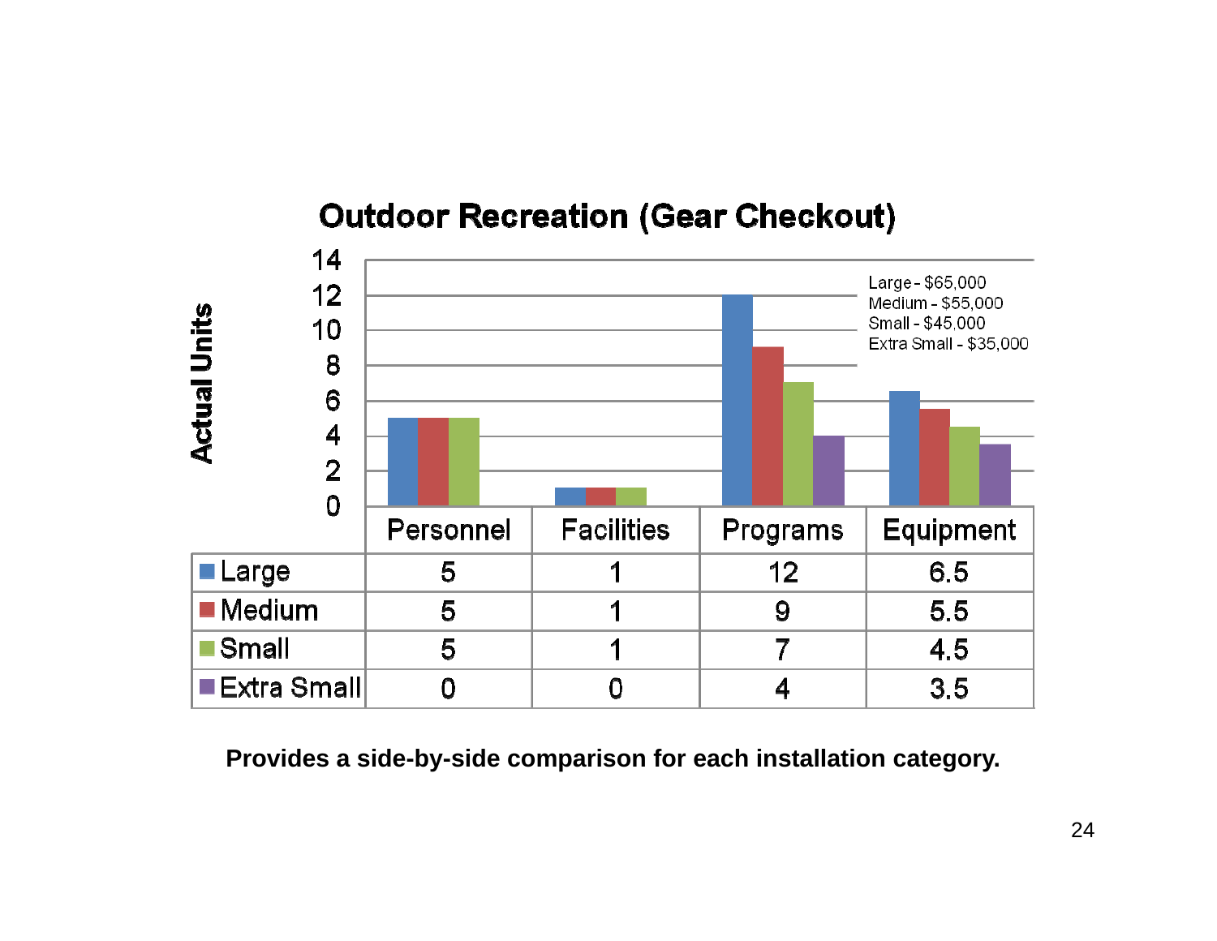# **Outdoor Recreation (Gear Checkout)**

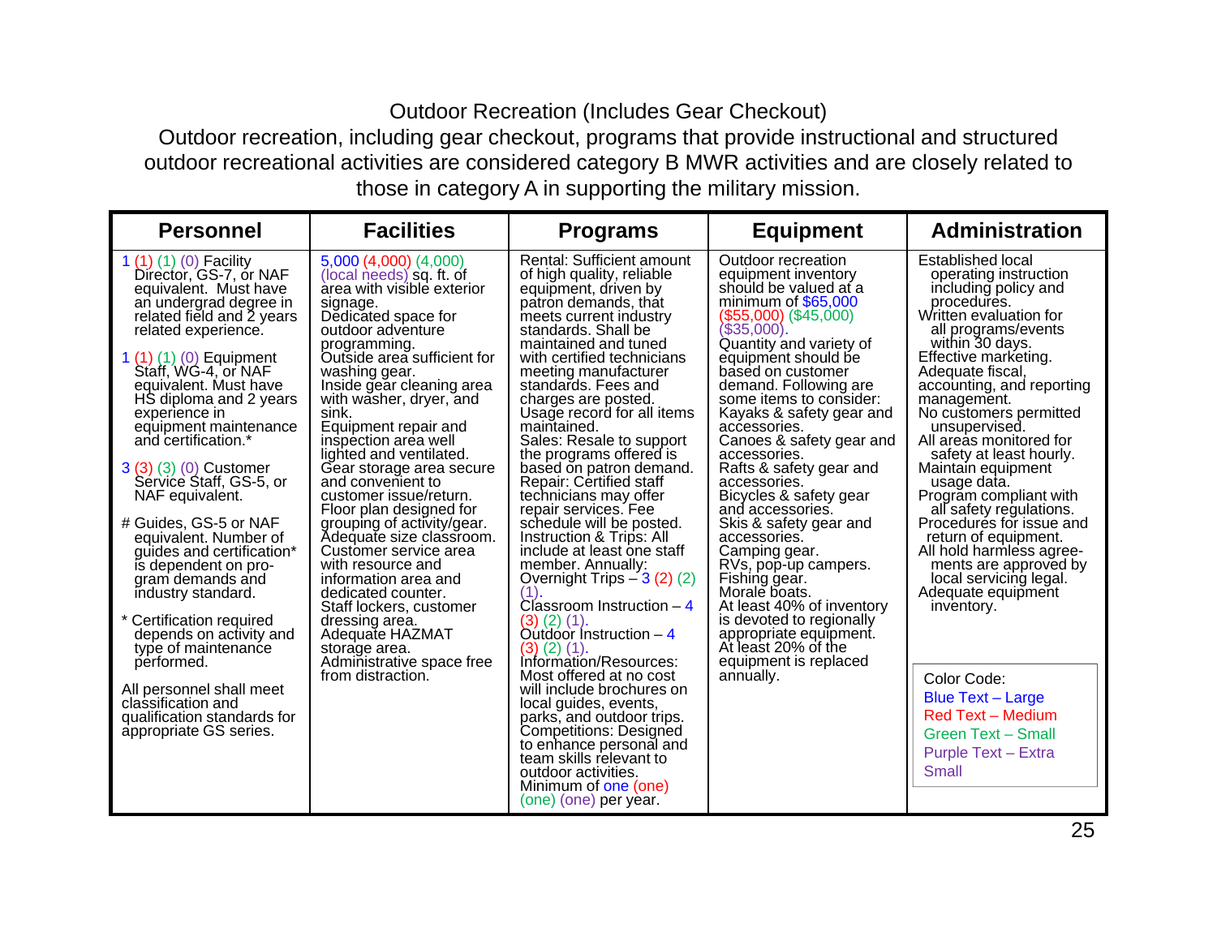## Outdoor Recreation (Includes Gear Checkout)

 Outdoor recreation, including gear checkout, programs that provide instructional and structured outdoor recreational activities are considered category B MWR activities and are closely related to those in category A in supporting the military mission.

| <b>Personnel</b>                                                                                                                                                                                                                                                                                                                                                                                                                                                                                                                                                                                                                           | <b>Facilities</b>                                                                                                                                                                                                                                                                                                                                                                                                                                                                                                                                                                                                                                                                              | <b>Programs</b>                                                                                                                                                                                                                                                                                                                                                                                                                                                                                                                                                                                                                                                                                                                                                                         | <b>Equipment</b>                                                                                                                                                                                                                                                                                                                                                                                                                                                                                                                                                                                                                                                              | <b>Administration</b>                                                                                                                                                                                                                                                                                                                                                                                                                                                                                                                                                                                                  |
|--------------------------------------------------------------------------------------------------------------------------------------------------------------------------------------------------------------------------------------------------------------------------------------------------------------------------------------------------------------------------------------------------------------------------------------------------------------------------------------------------------------------------------------------------------------------------------------------------------------------------------------------|------------------------------------------------------------------------------------------------------------------------------------------------------------------------------------------------------------------------------------------------------------------------------------------------------------------------------------------------------------------------------------------------------------------------------------------------------------------------------------------------------------------------------------------------------------------------------------------------------------------------------------------------------------------------------------------------|-----------------------------------------------------------------------------------------------------------------------------------------------------------------------------------------------------------------------------------------------------------------------------------------------------------------------------------------------------------------------------------------------------------------------------------------------------------------------------------------------------------------------------------------------------------------------------------------------------------------------------------------------------------------------------------------------------------------------------------------------------------------------------------------|-------------------------------------------------------------------------------------------------------------------------------------------------------------------------------------------------------------------------------------------------------------------------------------------------------------------------------------------------------------------------------------------------------------------------------------------------------------------------------------------------------------------------------------------------------------------------------------------------------------------------------------------------------------------------------|------------------------------------------------------------------------------------------------------------------------------------------------------------------------------------------------------------------------------------------------------------------------------------------------------------------------------------------------------------------------------------------------------------------------------------------------------------------------------------------------------------------------------------------------------------------------------------------------------------------------|
| 1 $(1)$ $(1)$ $(0)$ Facility<br>Director, GS-7, or NAF<br>equivalent. Must have<br>an undergrad degree in<br>related field and 2 years<br>related experience.<br>1 $(1)(1)(0)$ Equipment<br>Staff, WG-4, or NAF<br>equivalent. Must have<br>HS diploma and 2 years<br>experience in<br>equipment maintenance<br>and certification.*<br>3 (3) (3) (0) Customer<br>Sérvice Staff, GS-5, or<br>NAF equivalent.<br># Guides, GS-5 or NAF<br>equivalent. Number of<br>quides and certification*<br>is dependent on pro-<br>gram demands and<br>industry standard.<br>* Certification required<br>depends on activity and<br>type of maintenance | 5,000(4,000)(4,000)<br>(local needs) sq. ft. of<br>area with visible exterior<br>signage.<br>Dedicated space for<br>outdoor adventure<br>programming.<br>Outside area sufficient for<br>washing gear.<br>Inside gear cleaning area<br>with washer, dryer, and<br>sink.<br>Equipment repair and<br>inspection area well<br>lighted and ventilated.<br>Gear storage area secure<br>and convenient to<br>customer issue/return.<br>Floor plan designed for<br>grouping of activity/gear.<br>Adequate size classroom.<br>Customer service area<br>with resource and<br>information area and<br>dedicated counter.<br>Staff lockers, customer<br>dressing area.<br>Adequate HAZMAT<br>storage area. | <b>Rental: Sufficient amount</b><br>of high quality, reliable<br>equipment, driven by<br>patron demands, that<br>meets current industry<br>standards. Shall be<br>maintained and tuned<br>with certified technicians<br>meeting manufacturer<br>standards. Fees and<br>charges are posted.<br>Usage record for all items<br>maintained.<br>Sales: Resale to support<br>the programs offered is<br>based on patron demand.<br>Repair: Certified staff<br>technicians may offer<br>repair services. Fee<br>schedule will be posted.<br>Instruction & Trips: All<br>include at least one staff<br>member. Annually:<br>Overnight Trips $-3(2)(2)$<br>(1)<br>Classroom Instruction $-4$<br>$(3)$ $(2)$ $(1)$ .<br>Outdoor Instruction $-4$<br>$(3)$ $(2)$ $(1)$ .<br>Information/Resources: | Outdoor recreation<br>equipment inventory<br>should be valued at a<br>minimum of $$65.000$<br>(\$55,000) (\$45,000)<br>(\$35,000).<br>Quantity and variety of<br>equipment should be<br>based on customer<br>demand. Following are<br>some items to consider:<br>Kayaks & safety gear and<br>accessories.<br>Canoes & safety gear and<br>accessories.<br>Rafts & safety gear and<br>accessories.<br>Bicycles & safety gear<br>and accessories.<br>Skis & safety gear and<br>accessories.<br>Camping gear.<br>RVs, pop-up campers.<br>Fishing gear.<br>Morale boats.<br>At least 40% of inventory<br>is devoted to regionally<br>appropriate equipment.<br>At least 20% of the | <b>Established local</b><br>operating instruction<br>including policy and<br>procedures.<br>Written evaluation for<br>all programs/events<br>within 30 days.<br>Effective marketing.<br>Adequate fiscal,<br>accounting, and reporting<br>management.<br>No customers permitted<br>unsupervised.<br>All areas monitored for<br>safety at least hourly.<br>Maintain equipment<br>usage data.<br>Program compliant with<br>all safety regulations.<br>Procedures for issue and<br>return of equipment.<br>All hold harmless agree-<br>ments are approved by<br>local servicing legal.<br>Adequate equipment<br>inventory. |
| performed.<br>All personnel shall meet<br>classification and<br>qualification standards for<br>appropriate GS series.                                                                                                                                                                                                                                                                                                                                                                                                                                                                                                                      | Administrative space free<br>from distraction.                                                                                                                                                                                                                                                                                                                                                                                                                                                                                                                                                                                                                                                 | Most offered at no cost<br>will include brochures on<br>local guides, events,<br>parks, and outdoor trips.<br>Competitions: Designed<br>to enhance personal and<br>team skills relevant to<br>outdoor activities.<br>Minimum of one (one)<br>(one) (one) per year.                                                                                                                                                                                                                                                                                                                                                                                                                                                                                                                      | equipment is replaced<br>annually.                                                                                                                                                                                                                                                                                                                                                                                                                                                                                                                                                                                                                                            | Color Code:<br><b>Blue Text - Large</b><br><b>Red Text - Medium</b><br><b>Green Text - Small</b><br><b>Purple Text - Extra</b><br>Small                                                                                                                                                                                                                                                                                                                                                                                                                                                                                |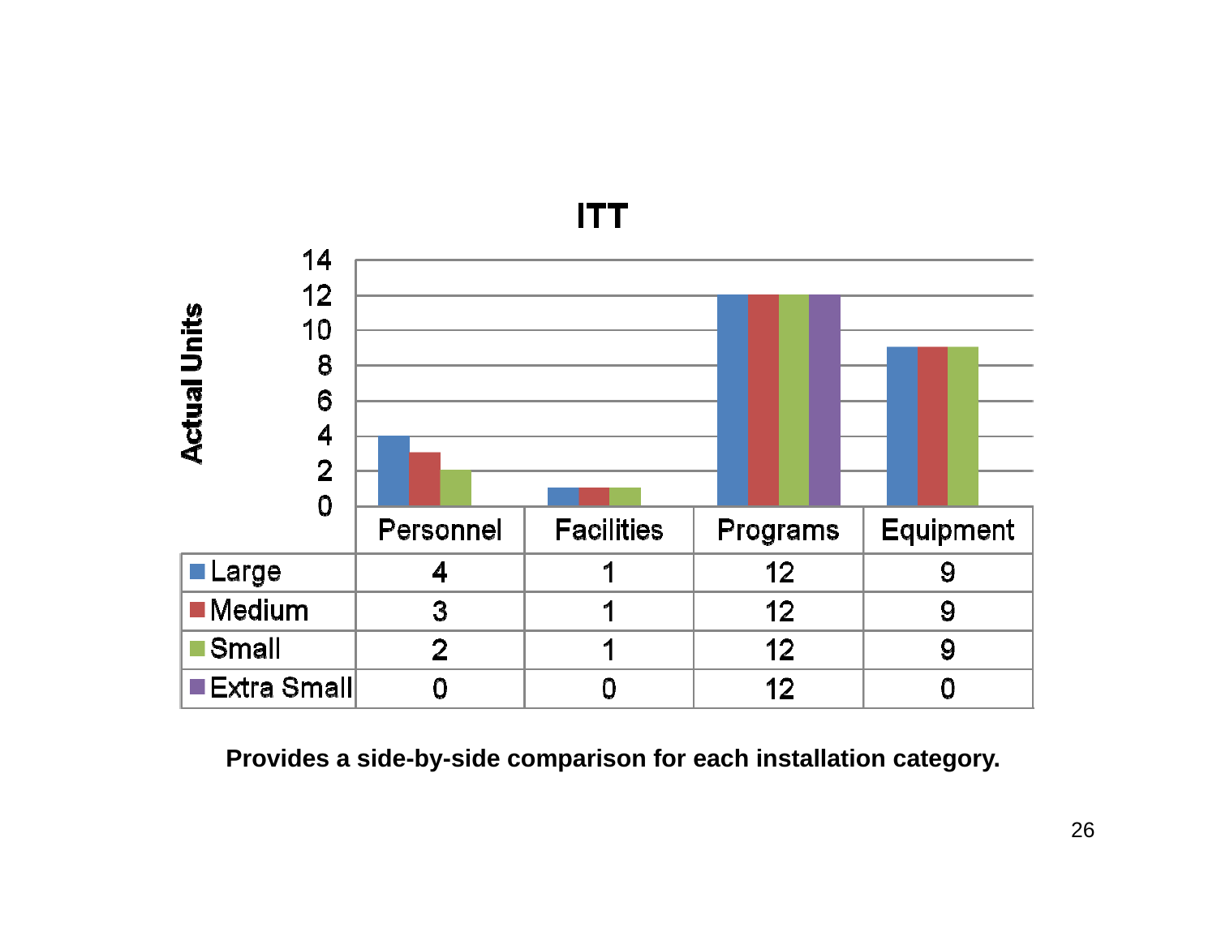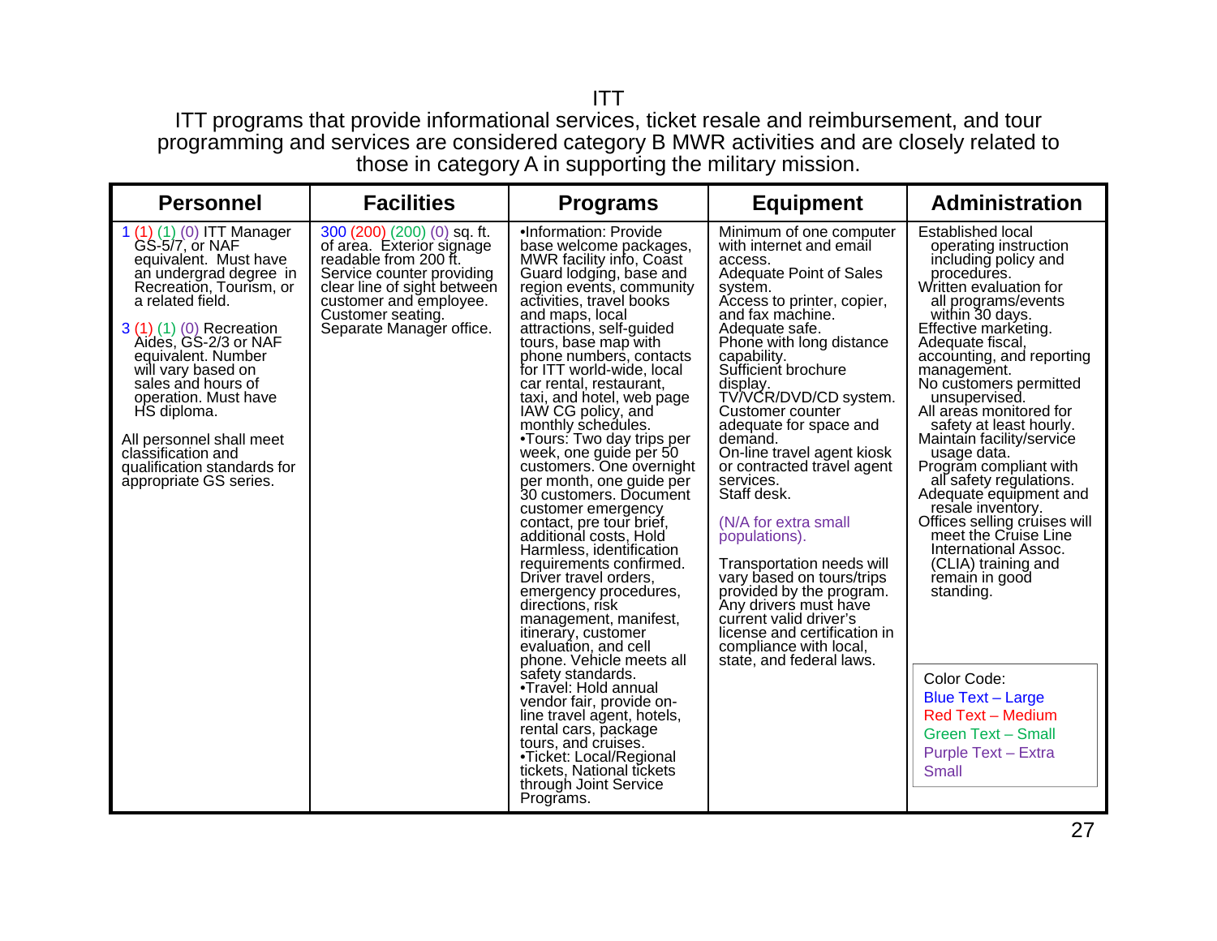#### ITT

 ITT programs that provide informational services, ticket resale and reimbursement, and tour programming and services are considered category B MWR activities and are closely related to those in category A in supporting the military mission.

| <b>Personnel</b>                                                                                                                                                                                                                                                                                                                                                                                                      | <b>Facilities</b>                                                                                                                                                                                                        | <b>Programs</b>                                                                                                                                                                                                                                                                                                                                                                                                                                                                                                                                                                                                                                                                                                                                                                                                                                                                                                                                                                                                                                                                                                    | <b>Equipment</b>                                                                                                                                                                                                                                                                                                                                                                                                                                                                                                                                                                                                                                                                                               | <b>Administration</b>                                                                                                                                                                                                                                                                                                                                                                                                                                                                                                                                                                                                                                                                                                                                                                         |
|-----------------------------------------------------------------------------------------------------------------------------------------------------------------------------------------------------------------------------------------------------------------------------------------------------------------------------------------------------------------------------------------------------------------------|--------------------------------------------------------------------------------------------------------------------------------------------------------------------------------------------------------------------------|--------------------------------------------------------------------------------------------------------------------------------------------------------------------------------------------------------------------------------------------------------------------------------------------------------------------------------------------------------------------------------------------------------------------------------------------------------------------------------------------------------------------------------------------------------------------------------------------------------------------------------------------------------------------------------------------------------------------------------------------------------------------------------------------------------------------------------------------------------------------------------------------------------------------------------------------------------------------------------------------------------------------------------------------------------------------------------------------------------------------|----------------------------------------------------------------------------------------------------------------------------------------------------------------------------------------------------------------------------------------------------------------------------------------------------------------------------------------------------------------------------------------------------------------------------------------------------------------------------------------------------------------------------------------------------------------------------------------------------------------------------------------------------------------------------------------------------------------|-----------------------------------------------------------------------------------------------------------------------------------------------------------------------------------------------------------------------------------------------------------------------------------------------------------------------------------------------------------------------------------------------------------------------------------------------------------------------------------------------------------------------------------------------------------------------------------------------------------------------------------------------------------------------------------------------------------------------------------------------------------------------------------------------|
| 1 (1) (1) (0) ITT Manager<br>GS-5/7, or NAF<br>equivalent. Must have<br>an undergrad degree in<br>Recreation, Tourism, or<br>a related field.<br>3 (1) (1) (0) Recreation<br>Aides, GS-2/3 or NAF<br>equivalent. Number<br>will vary based on<br>sales and hours of<br>operation. Must have<br>HS diploma.<br>All personnel shall meet<br>classification and<br>qualification standards for<br>appropriate GS series. | 300 (200) (200) (0) sq. ft.<br>of area. Exterior signage<br>readable from 200 ft.<br>Service counter providing<br>clear line of sight between<br>customer and employee.<br>Customer seating.<br>Separate Manager office. | .Information: Provide<br>base welcome packages,<br>MWR facility info, Coast<br>Guard lodging, base and<br>region events, community<br>activities, travel books<br>and maps, local<br>attractions, self-guided<br>tours, base map with<br>phone numbers, contacts<br>for ITT world-wide, local<br>car rental, restaurant,<br>taxi, and hotel, web page<br>IAW CG policy, and<br>monthly schedules.<br>•Tours: Two day trips per<br>week, one guide per 50<br>customers. One overnight<br>per month, one guide per<br>30 customers. Document<br>customer emergency<br>contact, pre tour brief,<br>additional costs. Hold<br>Harmless, identification<br>requirements confirmed.<br>Driver travel orders,<br>emergency procedures,<br>directions, risk<br>management, manifest,<br><i>itinerary, customer</i><br>evaluation, and cell<br>phone. Vehicle meets all<br>safety standards.<br>•Travel: Hold annual<br>vendor fair, provide on-<br>line travel agent, hotels,<br>rental cars, package<br>tours, and cruises.<br>•Ticket: Local/Regional<br>tickets, National tickets<br>through Joint Service<br>Programs. | Minimum of one computer<br>with internet and email<br>access.<br><b>Adequate Point of Sales</b><br>system.<br>Access to printer, copier,<br>and fax machine.<br>Adequate safe.<br>Phone with long distance<br>capability.<br>Sufficient brochure<br>display.<br>TV/VCR/DVD/CD system.<br>Customer counter<br>adequate for space and<br>demand.<br>On-line travel agent kiosk<br>or contracted travel agent<br>services.<br>Staff desk.<br>(N/A for extra small<br>populations).<br>Transportation needs will<br>vary based on tours/trips<br>provided by the program.<br>Any drivers must have<br>current valid driver's<br>license and certification in<br>compliance with local,<br>state, and federal laws. | <b>Established local</b><br>operating instruction<br>including policy and<br>procedures.<br>Written evaluation for<br>all programs/events<br>within 30 days.<br>Effective marketing.<br>Adequate fiscal,<br>accounting, and reporting<br>management.<br>No customers permitted<br>unsupervised.<br>All areas monitored for<br>safety at least hourly.<br>Maintain facility/service<br>usage data.<br>Program compliant with<br>all safety regulations.<br>Adequate equipment and<br>resale inventory.<br>Offices selling cruises will<br>meet the Cruise Line<br>International Assoc.<br>(CLIA) training and<br>remain in good<br>standing.<br>Color Code:<br><b>Blue Text - Large</b><br><b>Red Text - Medium</b><br><b>Green Text - Small</b><br><b>Purple Text - Extra</b><br><b>Small</b> |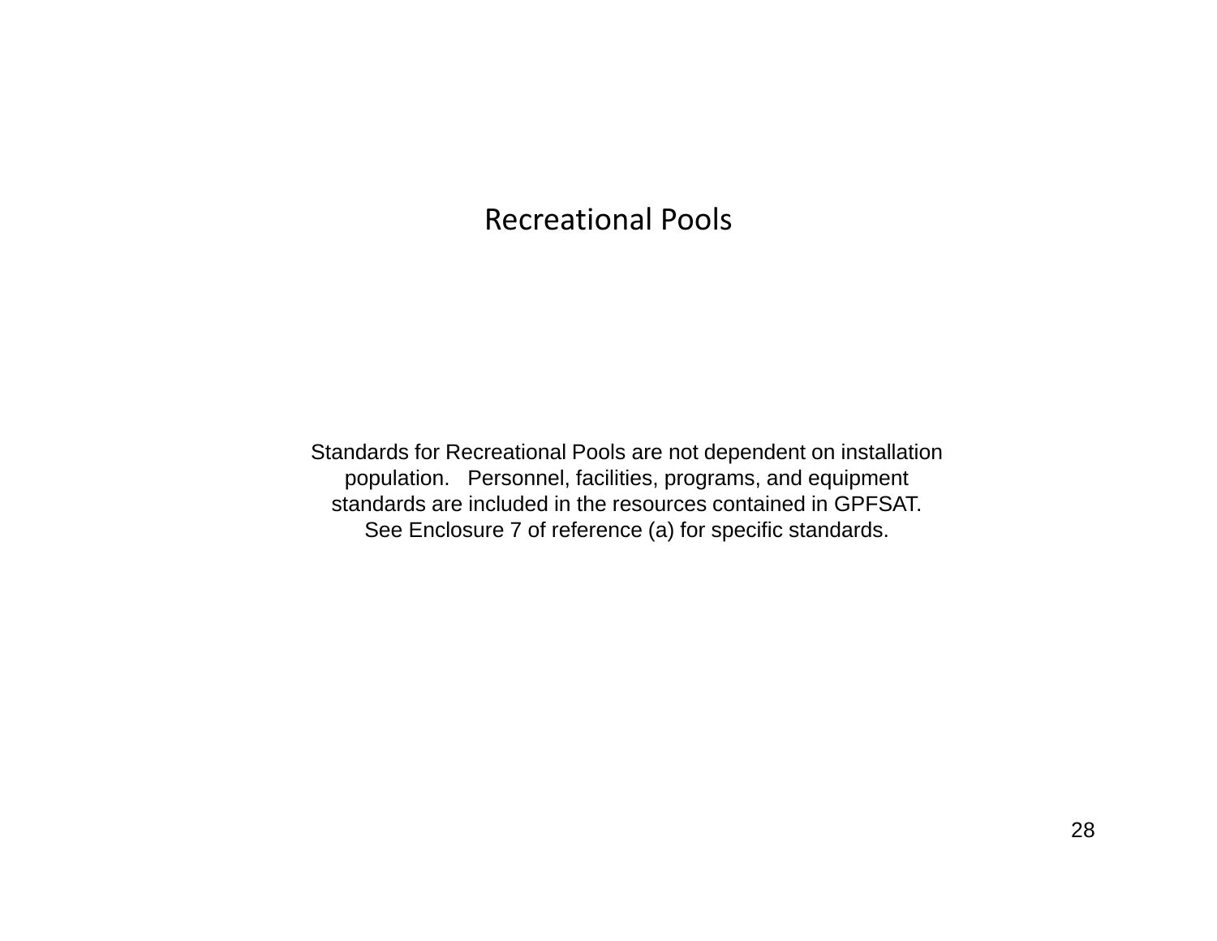## Recreational Pools

Standards for Recreational Pools are not dependent on installation population. Personnel, facilities, programs, and equipment standards are included in the resources contained in GPFSAT. See Enclosure 7 of reference (a) for specific standards.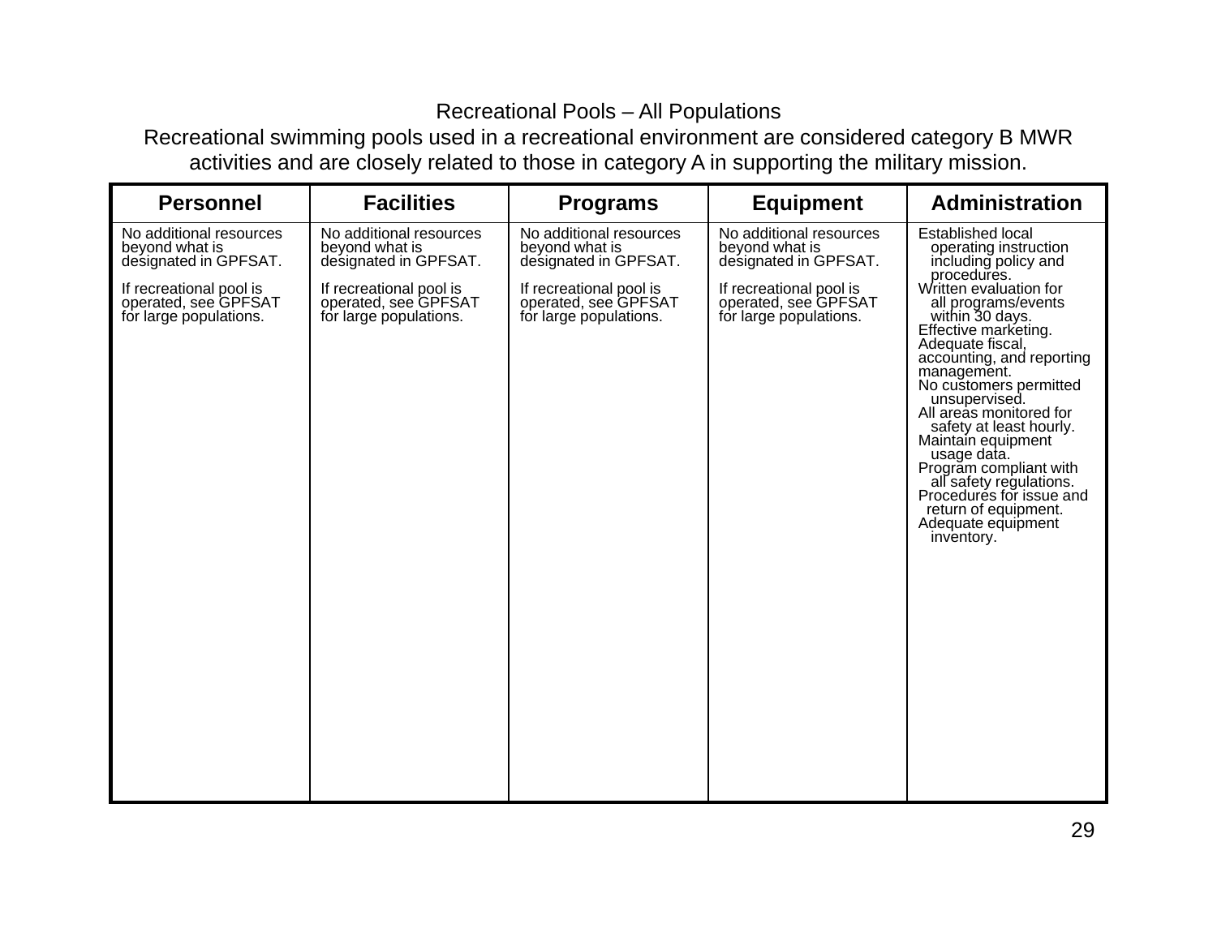### Recreational Pools – All Populations

 Recreational swimming pools used in a recreational environment are considered category B MWR activities and are closely related to those in category A in supporting the military mission.

| <b>Personnel</b>                                                          | <b>Facilities</b>                                                         | <b>Programs</b>                                                           | <b>Equipment</b>                                                          | <b>Administration</b>                                                                                                                                                                                                                                                                                                                                                                                                                                      |
|---------------------------------------------------------------------------|---------------------------------------------------------------------------|---------------------------------------------------------------------------|---------------------------------------------------------------------------|------------------------------------------------------------------------------------------------------------------------------------------------------------------------------------------------------------------------------------------------------------------------------------------------------------------------------------------------------------------------------------------------------------------------------------------------------------|
| No additional resources<br>beyond what is<br>designated in GPFSAT.        | No additional resources<br>beyond what is<br>designated in GPFSAT.        | No additional resources<br>beyond what is<br>designated in GPFSAT.        | No additional resources<br>beyond what is<br>designated in GPFSAT.        | Established local<br>operating instruction<br>including policy and                                                                                                                                                                                                                                                                                                                                                                                         |
| If recreational pool is<br>operated, see GPFSAT<br>for large populations. | If recreational pool is<br>operated, see GPFSAT<br>for large populations. | If recreational pool is<br>operated, see GPFSAT<br>for large populations. | If recreational pool is<br>operated, see GPFSAT<br>for large populations. | procedures.<br>Written evaluation for<br>all programs/events<br>within 30 days.<br>Effective marketing.<br>Adequate fiscal,<br>accounting, and reporting<br>management.<br>No customers permitted<br>unsupervised.<br>All areas monitored for<br>safety at least hourly.<br>Maintain equipment<br>usage data.<br>Program compliant with<br>all safety regulations.<br>Procedures for issue and<br>return of equipment.<br>Adequate equipment<br>inventory. |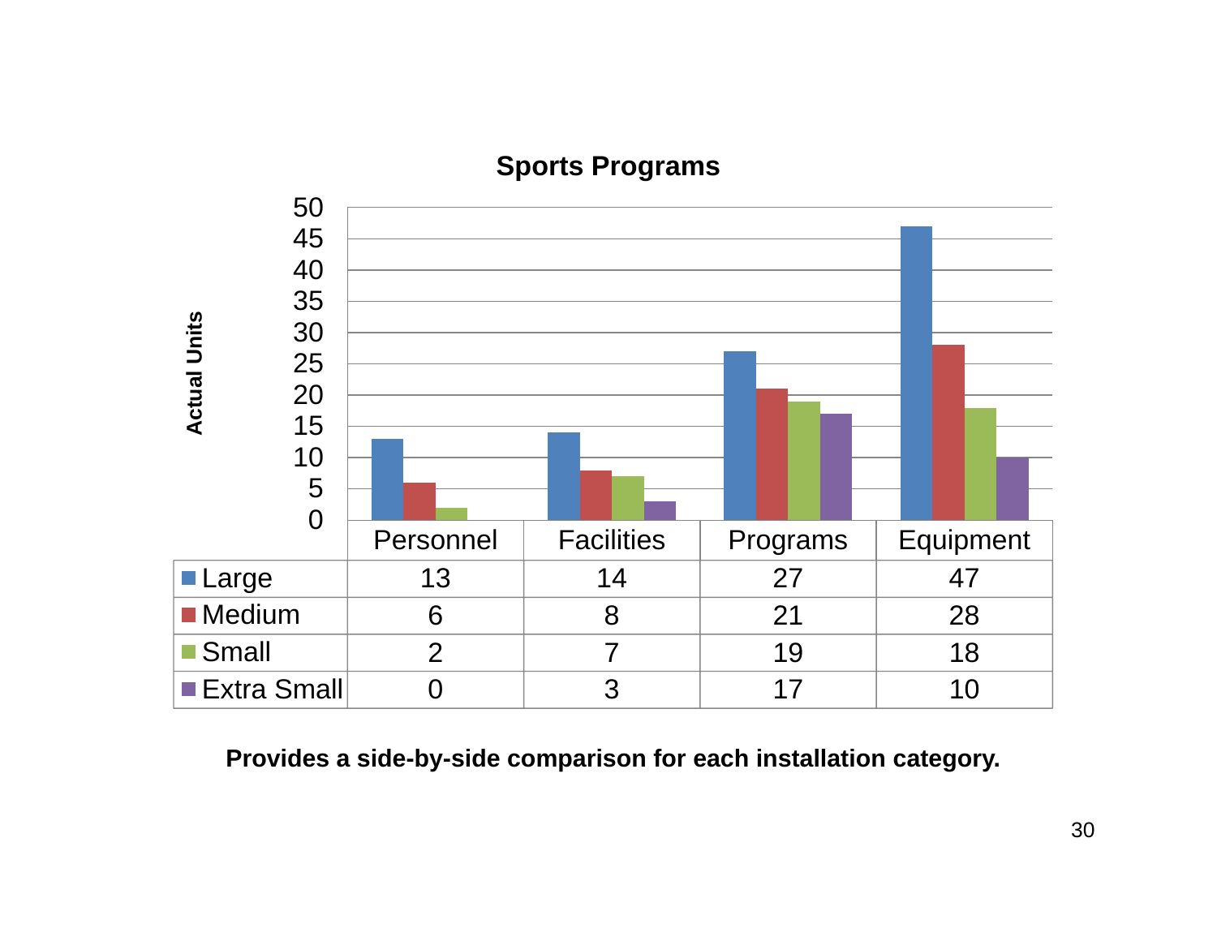

## **Sports Programs**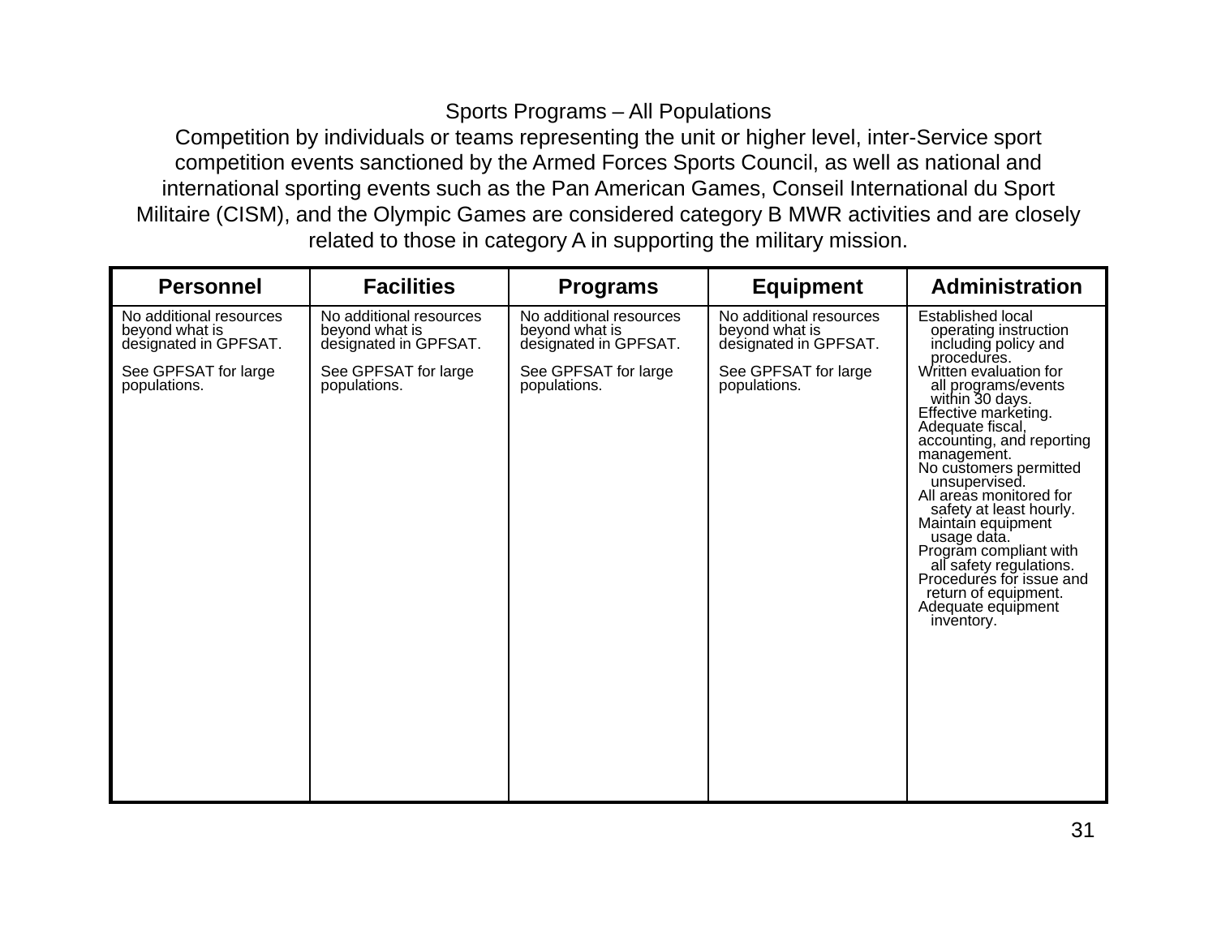## Sports Programs – All Populations

 Competition by individuals or teams representing the unit or higher level, inter-Service sport competition events sanctioned by the Armed Forces Sports Council, as well as national and international sporting events such as the Pan American Games, Conseil International du Sport Militaire (CISM), and the Olympic Games are considered category B MWR activities and are closely related to those in category A in supporting the military mission.

| <b>Personnel</b>                                                                                           | <b>Facilities</b>                                                                                          | <b>Programs</b>                                                                                            | <b>Equipment</b>                                                                                           | <b>Administration</b>                                                                                                                                                                                                                                                                                                                                                                                                                                                                                                                   |
|------------------------------------------------------------------------------------------------------------|------------------------------------------------------------------------------------------------------------|------------------------------------------------------------------------------------------------------------|------------------------------------------------------------------------------------------------------------|-----------------------------------------------------------------------------------------------------------------------------------------------------------------------------------------------------------------------------------------------------------------------------------------------------------------------------------------------------------------------------------------------------------------------------------------------------------------------------------------------------------------------------------------|
| No additional resources<br>beyond what is<br>designated in GPFSAT.<br>See GPFSAT for large<br>populations. | No additional resources<br>beyond what is<br>designated in GPFSAT.<br>See GPFSAT for large<br>populations. | No additional resources<br>beyond what is<br>designated in GPFSAT.<br>See GPFSAT for large<br>populations. | No additional resources<br>beyond what is<br>designated in GPFSAT.<br>See GPFSAT for large<br>populations. | <b>Established local</b><br>operating instruction<br>including policy and<br>procedures.<br>Written evaluation for<br>all programs/events<br>within 30 days.<br>Effective marketing.<br>Adequate fiscal,<br>accounting, and reporting<br>management.<br>No customers permitted<br>unsupervised.<br>All areas monitored for<br>safety at least hourly.<br>Maintain equipment<br>usage data.<br>Program compliant with<br>all safety regulations.<br>Procedures for issue and<br>return of equipment.<br>Adequate equipment<br>inventory. |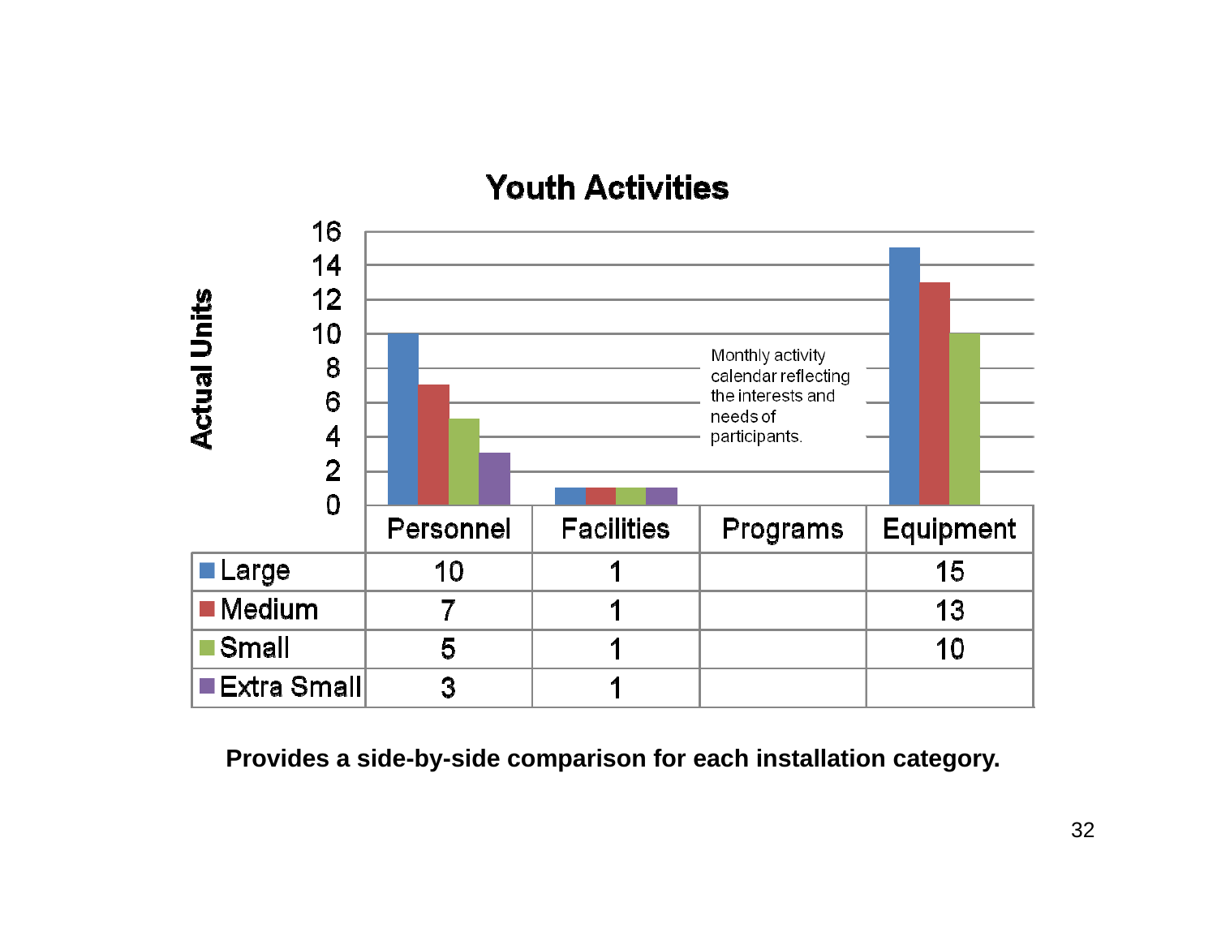# **Youth Activities**